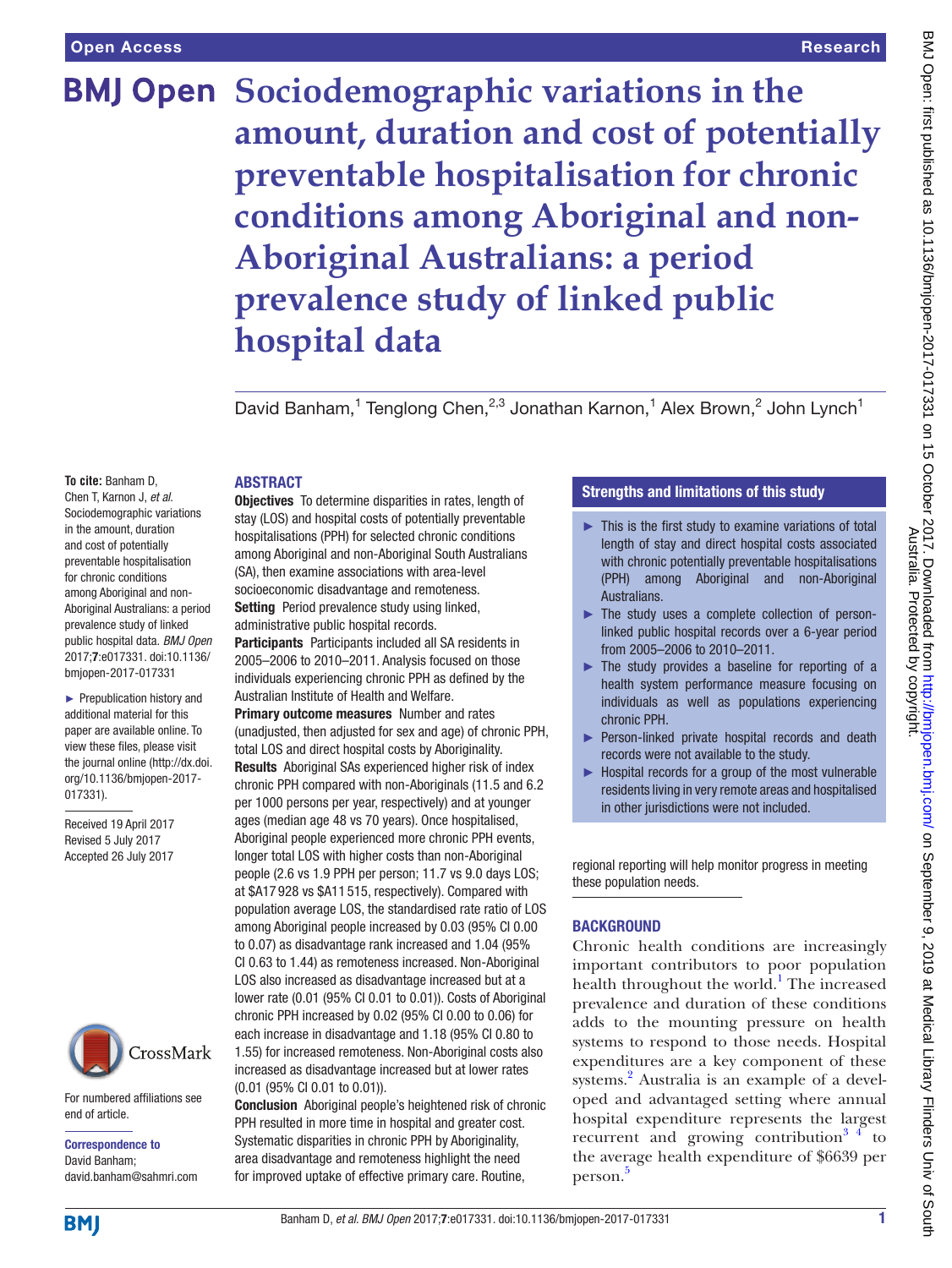# **BMJ Open** Sociodemographic variations in the **amount, duration and cost of potentially preventable hospitalisation for chronic conditions among Aboriginal and non-Aboriginal Australians: a period prevalence study of linked public hospital data**

David Banham,<sup>1</sup> Tenglong Chen,<sup>2,3</sup> Jonathan Karnon,<sup>1</sup> Alex Brown,<sup>2</sup> John Lynch<sup>1</sup>

**To cite:** Banham D, Chen T, Karnon J, *et al*. Sociodemographic variations in the amount, duration and cost of potentially preventable hospitalisation for chronic conditions among Aboriginal and non-Aboriginal Australians: a period prevalence study of linked public hospital data. *BMJ Open* 2017;7:e017331. doi:10.1136/ bmjopen-2017-017331

► Prepublication history and additional material for this paper are available online. To view these files, please visit the journal online [\(http://dx.doi.](http://dx.doi.org/10.1136/bmjopen-2017-017331) [org/10.1136/bmjopen-2017-](http://dx.doi.org/10.1136/bmjopen-2017-017331) [017331\)](http://dx.doi.org/10.1136/bmjopen-2017-017331).

Received 19 April 2017 Revised 5 July 2017 Accepted 26 July 2017



For numbered affiliations see end of article.

Correspondence to David Banham; david.banham@sahmri.com

# **ABSTRACT**

Objectives To determine disparities in rates, length of stay (LOS) and hospital costs of potentially preventable hospitalisations (PPH) for selected chronic conditions among Aboriginal and non-Aboriginal South Australians (SA), then examine associations with area-level socioeconomic disadvantage and remoteness. Setting Period prevalence study using linked, administrative public hospital records.

Participants Participants included all SA residents in 2005–2006 to 2010–2011. Analysis focused on those individuals experiencing chronic PPH as defined by the Australian Institute of Health and Welfare.

**Primary outcome measures** Number and rates (unadjusted, then adjusted for sex and age) of chronic PPH, total LOS and direct hospital costs by Aboriginality. Results Aboriginal SAs experienced higher risk of index chronic PPH compared with non-Aboriginals (11.5 and 6.2 per 1000 persons per year, respectively) and at younger ages (median age 48 vs 70 years). Once hospitalised, Aboriginal people experienced more chronic PPH events, longer total LOS with higher costs than non-Aboriginal people (2.6 vs 1.9 PPH per person; 11.7 vs 9.0 days LOS; at \$A17 928 vs \$A11 515, respectively). Compared with population average LOS, the standardised rate ratio of LOS among Aboriginal people increased by 0.03 (95% CI 0.00 to 0.07) as disadvantage rank increased and 1.04 (95% CI 0.63 to 1.44) as remoteness increased. Non-Aboriginal LOS also increased as disadvantage increased but at a lower rate (0.01 (95% CI 0.01 to 0.01)). Costs of Aboriginal chronic PPH increased by 0.02 (95% CI 0.00 to 0.06) for each increase in disadvantage and 1.18 (95% CI 0.80 to 1.55) for increased remoteness. Non-Aboriginal costs also increased as disadvantage increased but at lower rates (0.01 (95% CI 0.01 to 0.01)).

Conclusion Aboriginal people's heightened risk of chronic PPH resulted in more time in hospital and greater cost. Systematic disparities in chronic PPH by Aboriginality, area disadvantage and remoteness highlight the need for improved uptake of effective primary care. Routine,

# Strengths and limitations of this study

- ► This is the first study to examine variations of total length of stay and direct hospital costs associated with chronic potentially preventable hospitalisations (PPH) among Aboriginal and non-Aboriginal Australians.
- ► The study uses a complete collection of personlinked public hospital records over a 6-year period from 2005–2006 to 2010–2011.
- ► The study provides a baseline for reporting of a health system performance measure focusing on individuals as well as populations experiencing chronic PPH.
- ► Person-linked private hospital records and death records were not available to the study.
- ► Hospital records for a group of the most vulnerable residents living in very remote areas and hospitalised in other jurisdictions were not included.

regional reporting will help monitor progress in meeting these population needs.

# **BACKGROUND**

Chronic health conditions are increasingly important contributors to poor population health throughout the world.<sup>1</sup> The increased prevalence and duration of these conditions adds to the mounting pressure on health systems to respond to those needs. Hospital expenditures are a key component of these systems.<sup>[2](#page-10-1)</sup> Australia is an example of a developed and advantaged setting where annual hospital expenditure represents the largest recurrent and growing contribution<sup>3</sup>  $\frac{4}{1}$  to the average health expenditure of \$6639 per person. [5](#page-10-3)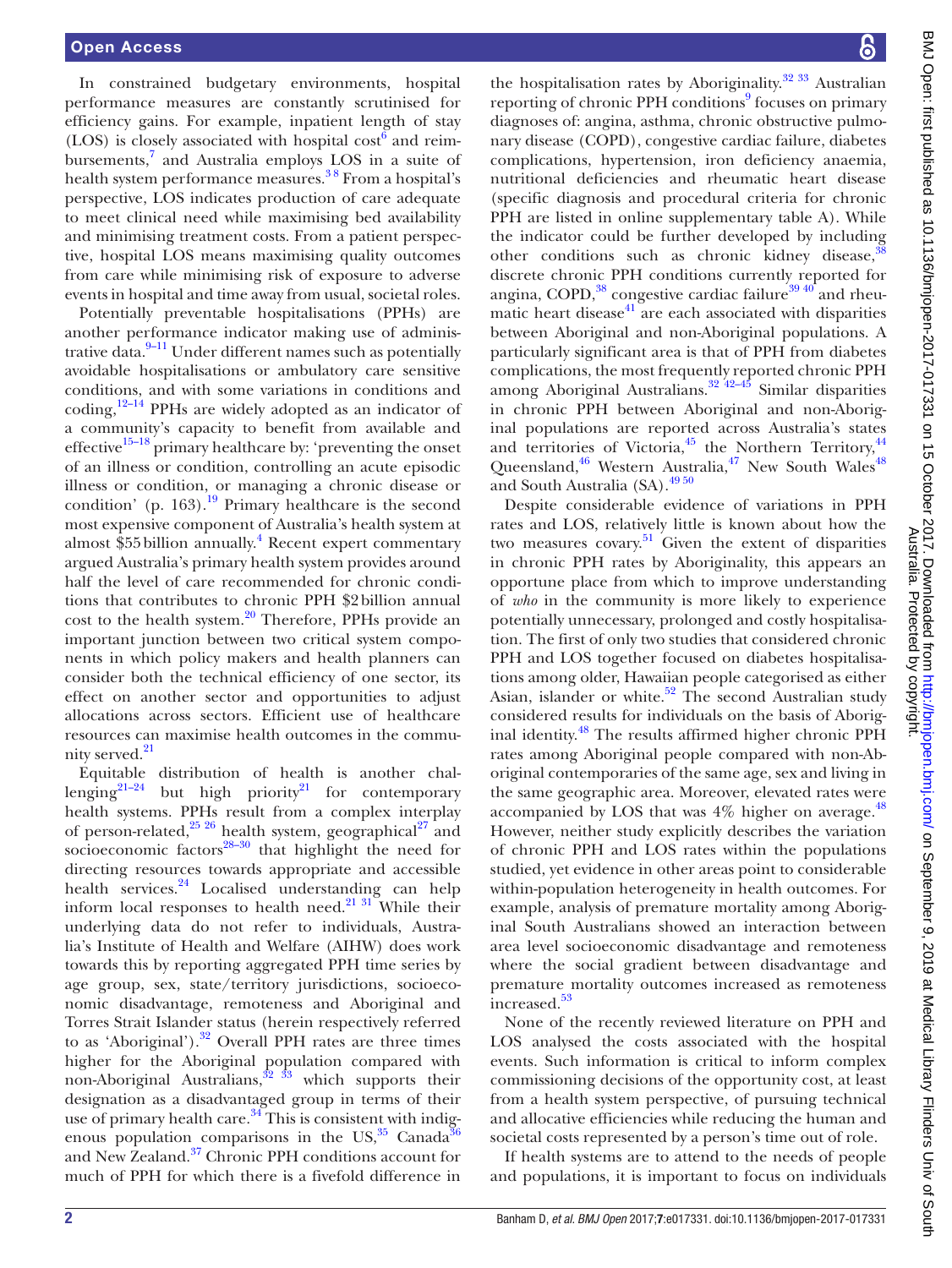In constrained budgetary environments, hospital performance measures are constantly scrutinised for efficiency gains. For example, inpatient length of stay (LOS) is closely associated with hospital  $cost<sup>6</sup>$  $cost<sup>6</sup>$  $cost<sup>6</sup>$  and reim-bursements,<sup>[7](#page-10-5)</sup> and Australia employs LOS in a suite of health system performance measures.<sup>38</sup> From a hospital's perspective, LOS indicates production of care adequate to meet clinical need while maximising bed availability and minimising treatment costs. From a patient perspective, hospital LOS means maximising quality outcomes from care while minimising risk of exposure to adverse events in hospital and time away from usual, societal roles.

Potentially preventable hospitalisations (PPHs) are another performance indicator making use of administrative data. $9-11$  Under different names such as potentially avoidable hospitalisations or ambulatory care sensitive conditions, and with some variations in conditions and  $coding, <sup>12-14</sup>$  PPHs are widely adopted as an indicator of a community's capacity to benefit from available and effective $15-18$  primary healthcare by: 'preventing the onset of an illness or condition, controlling an acute episodic illness or condition, or managing a chronic disease or condition' (p. 163).<sup>19</sup> Primary healthcare is the second most expensive component of Australia's health system at almost \$55 billion annually.<sup>[4](#page-10-8)</sup> Recent expert commentary argued Australia's primary health system provides around half the level of care recommended for chronic conditions that contributes to chronic PPH \$2billion annual cost to the health system.<sup>20</sup> Therefore, PPHs provide an important junction between two critical system components in which policy makers and health planners can consider both the technical efficiency of one sector, its effect on another sector and opportunities to adjust allocations across sectors. Efficient use of healthcare resources can maximise health outcomes in the commu-nity served.<sup>[21](#page-11-3)</sup>

Equitable distribution of health is another challenging<sup>21-24</sup> but high priority<sup>21</sup> for contemporary health systems. PPHs result from a complex interplay of person-related, $25\frac{26}{10}$  health system, geographical $27\frac{27}{10}$  and socioeconomic factors ${}^{28-30}$  that highlight the need for directing resources towards appropriate and accessible health services.<sup>24</sup> Localised understanding can help inform local responses to health need.<sup>21</sup> 3<sup>1</sup> While their underlying data do not refer to individuals, Australia's Institute of Health and Welfare (AIHW) does work towards this by reporting aggregated PPH time series by age group, sex, state/territory jurisdictions, socioeconomic disadvantage, remoteness and Aboriginal and Torres Strait Islander status (herein respectively referred to as 'Aboriginal'). $32$  Overall PPH rates are three times higher for the Aboriginal population compared with non-Aboriginal Australians,  $32\frac{33}{13}$  which supports their designation as a disadvantaged group in terms of their use of primary health care. $34$  This is consistent with indigenous population comparisons in the  $US<sub>1</sub><sup>35</sup>$  Canada<sup>36</sup> and New Zealand[.37](#page-11-12) Chronic PPH conditions account for much of PPH for which there is a fivefold difference in

the hospitalisation rates by Aboriginality.<sup>[32 33](#page-11-8)</sup> Australian reporting of chronic PPH conditions<sup>[9](#page-10-6)</sup> focuses on primary diagnoses of: angina, asthma, chronic obstructive pulmonary disease (COPD), congestive cardiac failure, diabetes complications, hypertension, iron deficiency anaemia, nutritional deficiencies and rheumatic heart disease (specific diagnosis and procedural criteria for chronic PPH are listed in [online supplementary table A\)](https://dx.doi.org/10.1136/bmjopen-2017-017331). While the indicator could be further developed by including other conditions such as chronic kidney disease, $38$ discrete chronic PPH conditions currently reported for angina, COPD, $38$  congestive cardiac failure $39\frac{40}{3}$  and rheumatic heart disease<sup>41</sup> are each associated with disparities between Aboriginal and non-Aboriginal populations. A particularly significant area is that of PPH from diabetes complications, the most frequently reported chronic PPH among Aboriginal Australians. $32^{42-45}$  Similar disparities in chronic PPH between Aboriginal and non-Aboriginal populations are reported across Australia's states and territories of Victoria, $45$  the Northern Territory, $44$ Queensland, $46$  Western Australia, $47$  New South Wales $48$ and South Australia (SA).[49 50](#page-11-21)

Despite considerable evidence of variations in PPH rates and LOS, relatively little is known about how the two measures covary.<sup>51</sup> Given the extent of disparities in chronic PPH rates by Aboriginality, this appears an opportune place from which to improve understanding of *who* in the community is more likely to experience potentially unnecessary, prolonged and costly hospitalisation. The first of only two studies that considered chronic PPH and LOS together focused on diabetes hospitalisations among older, Hawaiian people categorised as either Asian, islander or white.<sup>[52](#page-11-23)</sup> The second Australian study considered results for individuals on the basis of Aboriginal identity.<sup>48</sup> The results affirmed higher chronic PPH rates among Aboriginal people compared with non-Aboriginal contemporaries of the same age, sex and living in the same geographic area. Moreover, elevated rates were accompanied by LOS that was  $4\%$  higher on average.<sup>[48](#page-11-20)</sup> However, neither study explicitly describes the variation of chronic PPH and LOS rates within the populations studied, yet evidence in other areas point to considerable within-population heterogeneity in health outcomes. For example, analysis of premature mortality among Aboriginal South Australians showed an interaction between area level socioeconomic disadvantage and remoteness where the social gradient between disadvantage and premature mortality outcomes increased as remoteness increased.<sup>[53](#page-11-24)</sup>

None of the recently reviewed literature on PPH and LOS analysed the costs associated with the hospital events. Such information is critical to inform complex commissioning decisions of the opportunity cost, at least from a health system perspective, of pursuing technical and allocative efficiencies while reducing the human and societal costs represented by a person's time out of role.

If health systems are to attend to the needs of people and populations, it is important to focus on individuals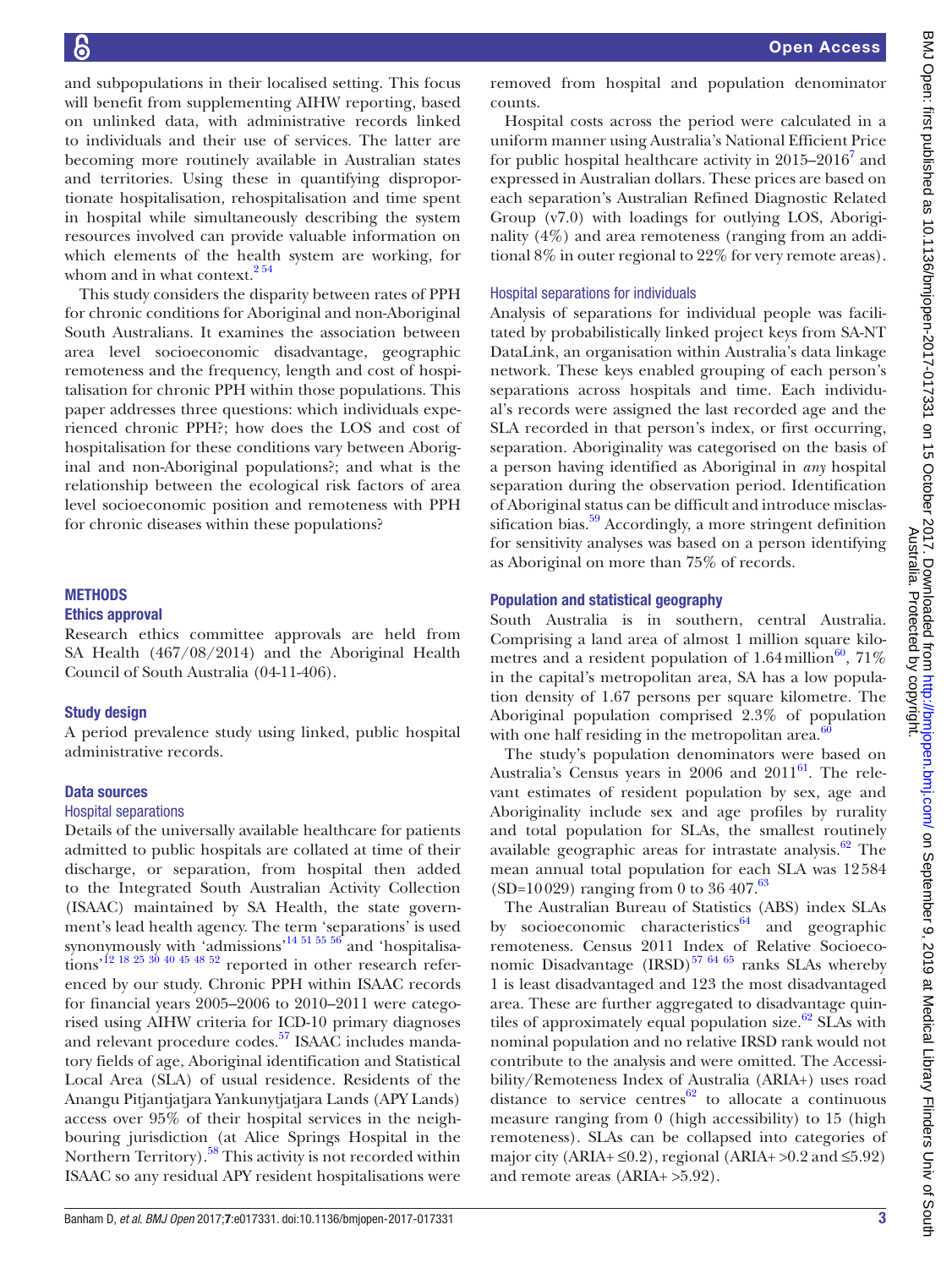and subpopulations in their localised setting. This focus will benefit from supplementing AIHW reporting, based on unlinked data, with administrative records linked to individuals and their use of services. The latter are becoming more routinely available in Australian states and territories. Using these in quantifying disproportionate hospitalisation, rehospitalisation and time spent in hospital while simultaneously describing the system resources involved can provide valuable information on which elements of the health system are working, for whom and in what context.<sup>254</sup>

This study considers the disparity between rates of PPH for chronic conditions for Aboriginal and non-Aboriginal South Australians. It examines the association between area level socioeconomic disadvantage, geographic remoteness and the frequency, length and cost of hospitalisation for chronic PPH within those populations. This paper addresses three questions: which individuals experienced chronic PPH?; how does the LOS and cost of hospitalisation for these conditions vary between Aboriginal and non-Aboriginal populations?; and what is the relationship between the ecological risk factors of area level socioeconomic position and remoteness with PPH for chronic diseases within these populations?

#### **METHODS**

#### Ethics approval

Research ethics committee approvals are held from SA Health (467/08/2014) and the Aboriginal Health Council of South Australia (04-11-406).

#### Study design

A period prevalence study using linked, public hospital administrative records.

#### Data sources

#### Hospital separations

Details of the universally available healthcare for patients admitted to public hospitals are collated at time of their discharge, or separation, from hospital then added to the Integrated South Australian Activity Collection (ISAAC) maintained by SA Health, the state government's lead health agency. The term 'separations' is used synonymously with 'admissions'<sup>14 51 55 56</sup> and 'hospitalisations<sup>'12 18 25 30 40 45 48 52</sup> reported in other research referenced by our study. Chronic PPH within ISAAC records for financial years 2005–2006 to 2010–2011 were categorised using AIHW criteria for ICD-10 primary diagnoses and relevant procedure codes.<sup>57</sup> ISAAC includes mandatory fields of age, Aboriginal identification and Statistical Local Area (SLA) of usual residence. Residents of the Anangu Pitjantjatjara Yankunytjatjara Lands (APY Lands) access over 95% of their hospital services in the neighbouring jurisdiction (at Alice Springs Hospital in the Northern Territory).<sup>58</sup> This activity is not recorded within ISAAC so any residual APY resident hospitalisations were

removed from hospital and population denominator counts.

Hospital costs across the period were calculated in a uniform manner using Australia's National Efficient Price for public hospital healthcare activity in  $2015-2016^7$  $2015-2016^7$  and expressed in Australian dollars. These prices are based on each separation's Australian Refined Diagnostic Related Group (v7.0) with loadings for outlying LOS, Aboriginality (4%) and area remoteness (ranging from an additional 8% in outer regional to 22% for very remote areas).

#### Hospital separations for individuals

Analysis of separations for individual people was facilitated by probabilistically linked project keys from SA-NT DataLink, an organisation within Australia's data linkage network. These keys enabled grouping of each person's separations across hospitals and time. Each individual's records were assigned the last recorded age and the SLA recorded in that person's index, or first occurring, separation. Aboriginality was categorised on the basis of a person having identified as Aboriginal in *any* hospital separation during the observation period. Identification of Aboriginal status can be difficult and introduce misclassification bias. $59$  Accordingly, a more stringent definition for sensitivity analyses was based on a person identifying as Aboriginal on more than 75% of records.

### Population and statistical geography

South Australia is in southern, central Australia. Comprising a land area of almost 1 million square kilometres and a resident population of 1.64 million<sup>60</sup>, 71% in the capital's metropolitan area, SA has a low population density of 1.67 persons per square kilometre. The Aboriginal population comprised 2.3% of population with one half residing in the metropolitan area. $6$ 

The study's population denominators were based on Australia's Census years in  $2006$  and  $2011^{61}$ . The relevant estimates of resident population by sex, age and Aboriginality include sex and age profiles by rurality and total population for SLAs, the smallest routinely available geographic areas for intrastate analysis. $62$  The mean annual total population for each SLA was 12584 (SD=10029) ranging from 0 to 36 407.<sup>[63](#page-11-31)</sup>

The Australian Bureau of Statistics (ABS) index SLAs by socioeconomic characteristics $64$  and geographic remoteness. Census 2011 Index of Relative Socioeconomic Disadvantage  $(IRSD)^{57}$  64.65 ranks SLAs whereby 1 is least disadvantaged and 123 the most disadvantaged area. These are further aggregated to disadvantage quintiles of approximately equal population size.<sup>62</sup> SLAs with nominal population and no relative IRSD rank would not contribute to the analysis and were omitted. The Accessibility/Remoteness Index of Australia (ARIA+) uses road distance to service centres $62$  to allocate a continuous measure ranging from 0 (high accessibility) to 15 (high remoteness). SLAs can be collapsed into categories of major city (ARIA+  $\leq 0.2$ ), regional (ARIA+  $> 0.2$  and  $\leq 5.92$ ) and remote areas (ARIA+ >5.92).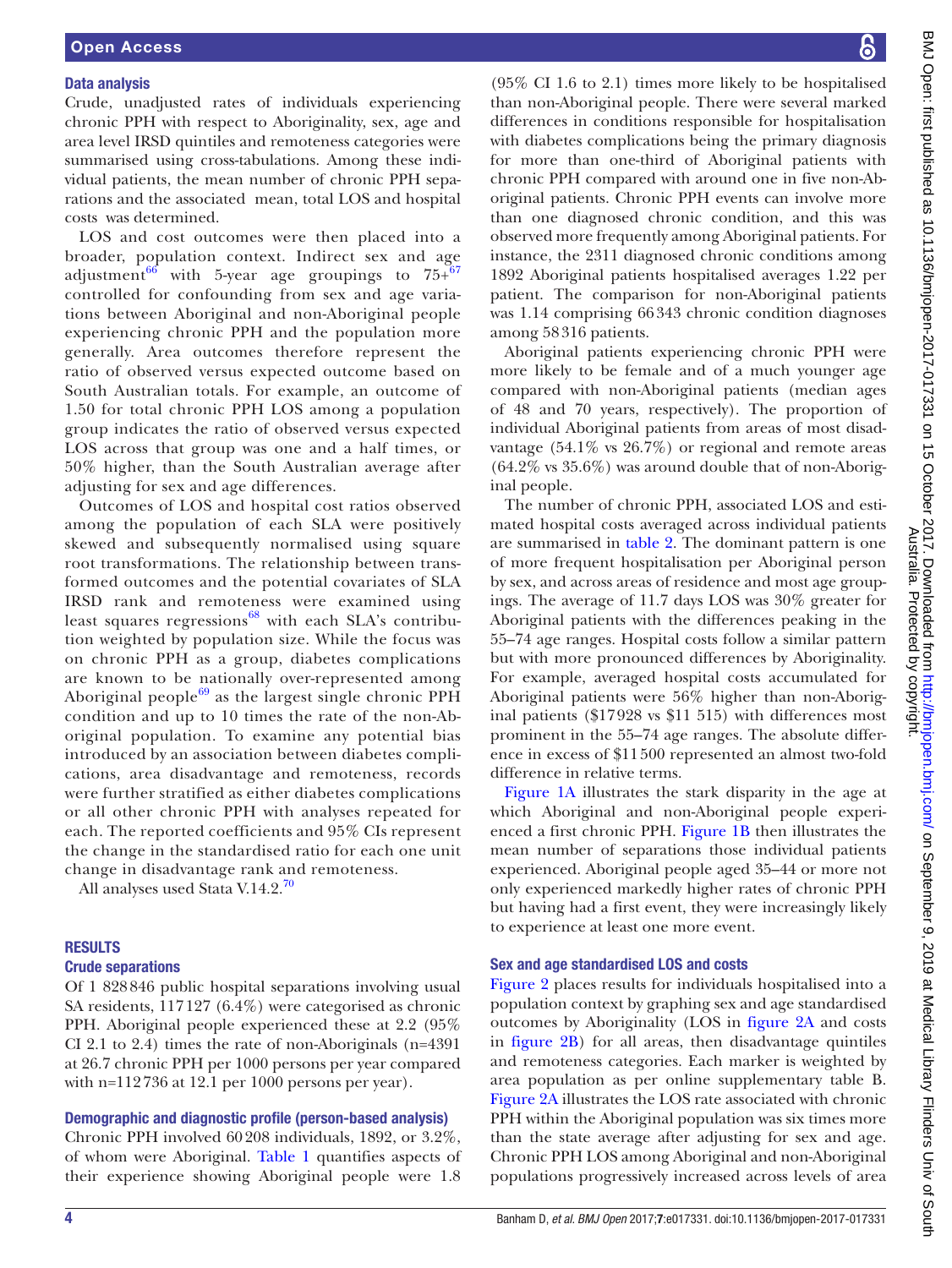#### Data analysis

Crude, unadjusted rates of individuals experiencing chronic PPH with respect to Aboriginality, sex, age and area level IRSD quintiles and remoteness categories were summarised using cross-tabulations. Among these individual patients, the mean number of chronic PPH separations and the associated mean, total LOS and hospital costs was determined.

LOS and cost outcomes were then placed into a broader, population context. Indirect sex and age adjustment<sup>66</sup> with 5-year age groupings to  $75+^{67}$ controlled for confounding from sex and age variations between Aboriginal and non-Aboriginal people experiencing chronic PPH and the population more generally. Area outcomes therefore represent the ratio of observed versus expected outcome based on South Australian totals. For example, an outcome of 1.50 for total chronic PPH LOS among a population group indicates the ratio of observed versus expected LOS across that group was one and a half times, or 50% higher, than the South Australian average after adjusting for sex and age differences.

Outcomes of LOS and hospital cost ratios observed among the population of each SLA were positively skewed and subsequently normalised using square root transformations. The relationship between transformed outcomes and the potential covariates of SLA IRSD rank and remoteness were examined using least squares regressions $^{68}$  with each SLA's contribution weighted by population size. While the focus was on chronic PPH as a group, diabetes complications are known to be nationally over-represented among Aboriginal people $69$  as the largest single chronic PPH condition and up to 10 times the rate of the non-Aboriginal population. To examine any potential bias introduced by an association between diabetes complications, area disadvantage and remoteness, records were further stratified as either diabetes complications or all other chronic PPH with analyses repeated for each. The reported coefficients and 95% CIs represent the change in the standardised ratio for each one unit change in disadvantage rank and remoteness.

All analyses used Stata V.14.2.<sup>[70](#page-12-1)</sup>

#### **RESULTS**

#### Crude separations

Of 1 828846 public hospital separations involving usual SA residents, 117127 (6.4%) were categorised as chronic PPH. Aboriginal people experienced these at 2.2 (95% CI 2.1 to 2.4) times the rate of non-Aboriginals (n=4391 at 26.7 chronic PPH per 1000 persons per year compared with n=112736 at 12.1 per 1000 persons per year).

#### Demographic and diagnostic profile (person-based analysis)

Chronic PPH involved 60208 individuals, 1892, or 3.2%, of whom were Aboriginal. [Table](#page-4-0) 1 quantifies aspects of their experience showing Aboriginal people were 1.8

(95% CI 1.6 to 2.1) times more likely to be hospitalised than non-Aboriginal people. There were several marked differences in conditions responsible for hospitalisation with diabetes complications being the primary diagnosis for more than one-third of Aboriginal patients with chronic PPH compared with around one in five non-Aboriginal patients. Chronic PPH events can involve more than one diagnosed chronic condition, and this was observed more frequently among Aboriginal patients. For instance, the 2311 diagnosed chronic conditions among 1892 Aboriginal patients hospitalised averages 1.22 per patient. The comparison for non-Aboriginal patients was 1.14 comprising 66343 chronic condition diagnoses among 58316 patients.

Aboriginal patients experiencing chronic PPH were more likely to be female and of a much younger age compared with non-Aboriginal patients (median ages of 48 and 70 years, respectively). The proportion of individual Aboriginal patients from areas of most disadvantage (54.1% vs 26.7%) or regional and remote areas (64.2% vs 35.6%) was around double that of non-Aboriginal people.

The number of chronic PPH, associated LOS and estimated hospital costs averaged across individual patients are summarised in [table](#page-5-0) 2. The dominant pattern is one of more frequent hospitalisation per Aboriginal person by sex, and across areas of residence and most age groupings. The average of 11.7 days LOS was 30% greater for Aboriginal patients with the differences peaking in the 55–74 age ranges. Hospital costs follow a similar pattern but with more pronounced differences by Aboriginality. For example, averaged hospital costs accumulated for Aboriginal patients were 56% higher than non-Aboriginal patients (\$17928 vs \$11 515) with differences most prominent in the 55–74 age ranges. The absolute difference in excess of \$11500 represented an almost two-fold difference in relative terms.

[Figure](#page-6-0) 1A illustrates the stark disparity in the age at which Aboriginal and non-Aboriginal people experienced a first chronic PPH. [Figure](#page-6-0) 1B then illustrates the mean number of separations those individual patients experienced. Aboriginal people aged 35–44 or more not only experienced markedly higher rates of chronic PPH but having had a first event, they were increasingly likely to experience at least one more event.

# Sex and age standardised LOS and costs

[Figure](#page-7-0) 2 places results for individuals hospitalised into a population context by graphing sex and age standardised outcomes by Aboriginality (LOS in [figure](#page-7-0) 2A and costs in [figure](#page-7-0) 2B) for all areas, then disadvantage quintiles and remoteness categories. Each marker is weighted by area population as per [online supplementary table B](https://dx.doi.org/10.1136/bmjopen-2017-017331). [Figure](#page-7-0) 2A illustrates the LOS rate associated with chronic PPH within the Aboriginal population was six times more than the state average after adjusting for sex and age. Chronic PPH LOS among Aboriginal and non-Aboriginal populations progressively increased across levels of area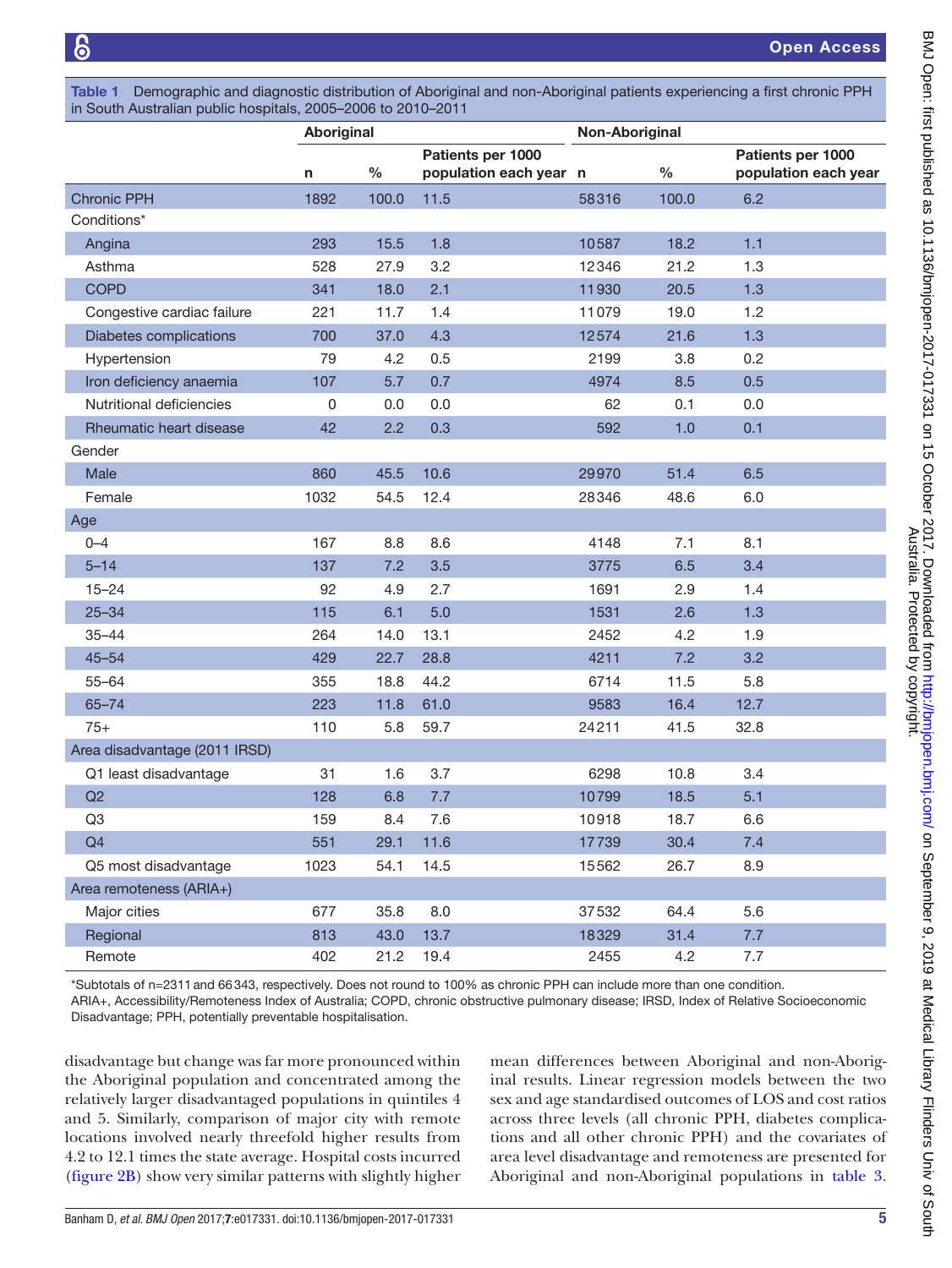<span id="page-4-0"></span>Table 1 Demographic and diagnostic distribution of Aboriginal and non-Aboriginal patients experiencing a first chronic PPH in South Australian public hospitals, 2005–2006 to 2010–2011

|                               | Aboriginal |               |                                             | Non-Aboriginal |       |                                           |
|-------------------------------|------------|---------------|---------------------------------------------|----------------|-------|-------------------------------------------|
|                               | n          | $\frac{0}{0}$ | Patients per 1000<br>population each year n |                | $\%$  | Patients per 1000<br>population each year |
| <b>Chronic PPH</b>            | 1892       | 100.0         | 11.5                                        | 58316          | 100.0 | 6.2                                       |
| Conditions*                   |            |               |                                             |                |       |                                           |
| Angina                        | 293        | 15.5          | 1.8                                         | 10587          | 18.2  | 1.1                                       |
| Asthma                        | 528        | 27.9          | 3.2                                         | 12346          | 21.2  | 1.3                                       |
| <b>COPD</b>                   | 341        | 18.0          | 2.1                                         | 11930          | 20.5  | 1.3                                       |
| Congestive cardiac failure    | 221        | 11.7          | 1.4                                         | 11079          | 19.0  | 1.2                                       |
| Diabetes complications        | 700        | 37.0          | 4.3                                         | 12574          | 21.6  | 1.3                                       |
| Hypertension                  | 79         | 4.2           | 0.5                                         | 2199           | 3.8   | 0.2                                       |
| Iron deficiency anaemia       | 107        | 5.7           | 0.7                                         | 4974           | 8.5   | 0.5                                       |
| Nutritional deficiencies      | 0          | 0.0           | 0.0                                         | 62             | 0.1   | 0.0                                       |
| Rheumatic heart disease       | 42         | 2.2           | 0.3                                         | 592            | 1.0   | 0.1                                       |
| Gender                        |            |               |                                             |                |       |                                           |
| Male                          | 860        | 45.5          | 10.6                                        | 29970          | 51.4  | 6.5                                       |
| Female                        | 1032       | 54.5          | 12.4                                        | 28346          | 48.6  | 6.0                                       |
| Age                           |            |               |                                             |                |       |                                           |
| $0 - 4$                       | 167        | 8.8           | 8.6                                         | 4148           | 7.1   | 8.1                                       |
| $5 - 14$                      | 137        | 7.2           | 3.5                                         | 3775           | 6.5   | 3.4                                       |
| $15 - 24$                     | 92         | 4.9           | 2.7                                         | 1691           | 2.9   | 1.4                                       |
| $25 - 34$                     | 115        | 6.1           | 5.0                                         | 1531           | 2.6   | 1.3                                       |
| $35 - 44$                     | 264        | 14.0          | 13.1                                        | 2452           | 4.2   | 1.9                                       |
| $45 - 54$                     | 429        | 22.7          | 28.8                                        | 4211           | 7.2   | 3.2                                       |
| $55 - 64$                     | 355        | 18.8          | 44.2                                        | 6714           | 11.5  | 5.8                                       |
| $65 - 74$                     | 223        | 11.8          | 61.0                                        | 9583           | 16.4  | 12.7                                      |
| $75+$                         | 110        | 5.8           | 59.7                                        | 24211          | 41.5  | 32.8                                      |
| Area disadvantage (2011 IRSD) |            |               |                                             |                |       |                                           |
| Q1 least disadvantage         | 31         | 1.6           | 3.7                                         | 6298           | 10.8  | 3.4                                       |
| Q2                            | 128        | 6.8           | 7.7                                         | 10799          | 18.5  | 5.1                                       |
| Q <sub>3</sub>                | 159        | 8.4           | 7.6                                         | 10918          | 18.7  | 6.6                                       |
| Q4                            | 551        | 29.1          | 11.6                                        | 17739          | 30.4  | 7.4                                       |
| Q5 most disadvantage          | 1023       | 54.1          | 14.5                                        | 15562          | 26.7  | 8.9                                       |
| Area remoteness (ARIA+)       |            |               |                                             |                |       |                                           |
| Major cities                  | 677        | 35.8          | 8.0                                         | 37532          | 64.4  | 5.6                                       |
| Regional                      | 813        | 43.0          | 13.7                                        | 18329          | 31.4  | 7.7                                       |
| Remote                        | 402        | 21.2          | 19.4                                        | 2455           | 4.2   | 7.7                                       |

\*Subtotals of n=2311and 66343, respectively. Does not round to 100% as chronic PPH can include more than one condition.

ARIA+, Accessibility/Remoteness Index of Australia; COPD, chronic obstructive pulmonary disease; IRSD, Index of Relative Socioeconomic Disadvantage; PPH, potentially preventable hospitalisation.

disadvantage but change was far more pronounced within the Aboriginal population and concentrated among the relatively larger disadvantaged populations in quintiles 4 and 5. Similarly, comparison of major city with remote locations involved nearly threefold higher results from 4.2 to 12.1 times the state average. Hospital costs incurred ([figure](#page-7-0) 2B) show very similar patterns with slightly higher

mean differences between Aboriginal and non-Aboriginal results. Linear regression models between the two sex and age standardised outcomes of LOS and cost ratios across three levels (all chronic PPH, diabetes complications and all other chronic PPH) and the covariates of area level disadvantage and remoteness are presented for Aboriginal and non-Aboriginal populations in [table](#page-8-0) 3.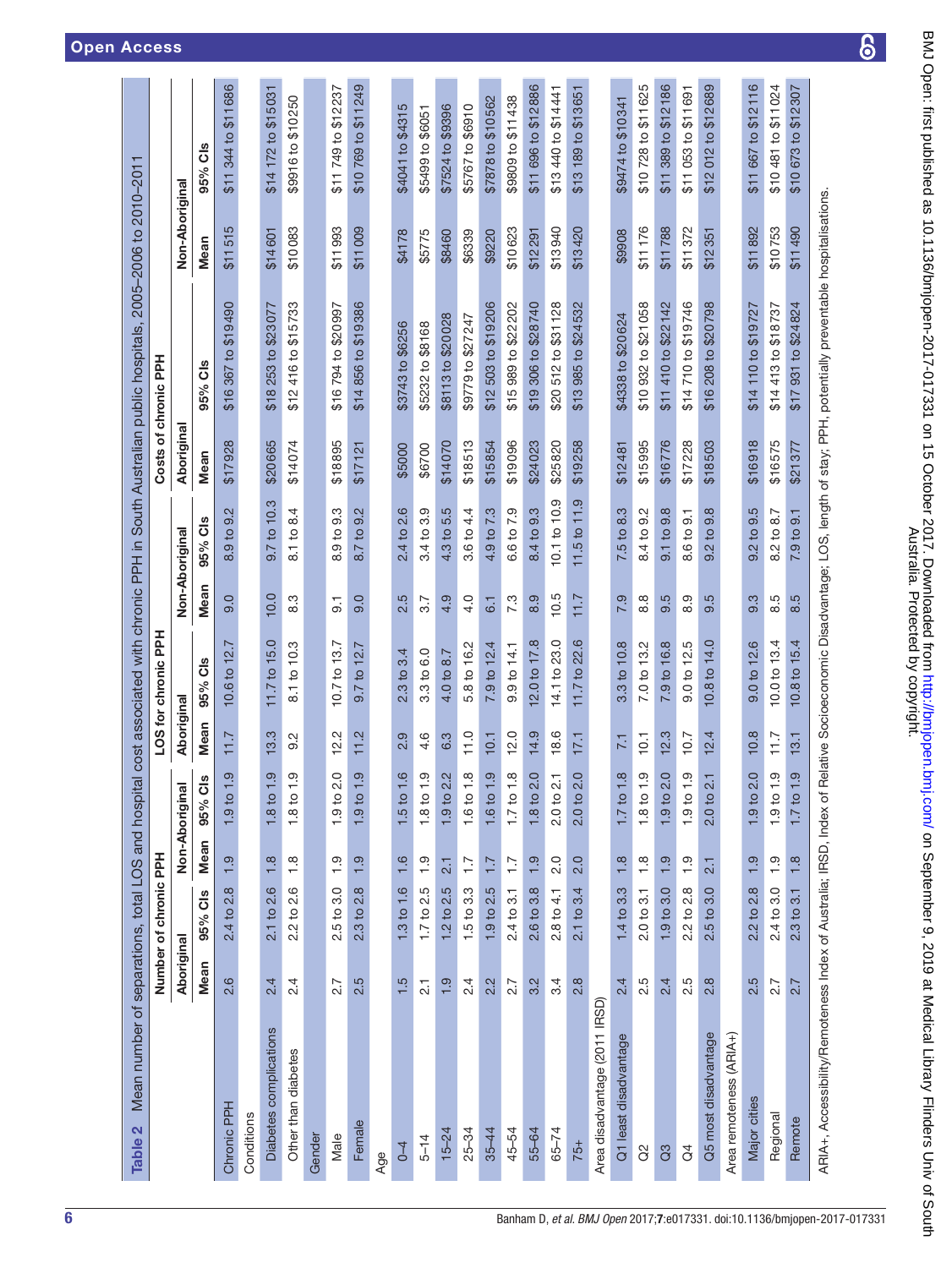<span id="page-5-0"></span>

| Mean number of separations, total LOS and hosp<br>Table 2          |                  |                       |                  |                                      |            |                                       |                  |                              |            | ital cost associated with chronic PPH in South Australian public hospitals,                              | 2005-2006 to   | 2010-201                            |
|--------------------------------------------------------------------|------------------|-----------------------|------------------|--------------------------------------|------------|---------------------------------------|------------------|------------------------------|------------|----------------------------------------------------------------------------------------------------------|----------------|-------------------------------------|
|                                                                    |                  | Number of chronic PPH |                  |                                      |            | LOS for chronic PPH                   |                  |                              |            | Costs of chronic PPH                                                                                     |                |                                     |
|                                                                    | Aboriginal       |                       | Non-Aborigin     | $\overline{a}$                       | Aboriginal |                                       |                  | Non-Aboriginal               | Aboriginal |                                                                                                          | Non-Aboriginal |                                     |
|                                                                    | Mean             | 95% Cls               | Mean             | <b>ds</b><br>95%                     | Mean       | <b>ds</b><br>95%                      | Mean             | 95% Cls                      | Mean       | <b>ds</b><br>95%                                                                                         | Mean           | 95% Cls                             |
| Chronic PPH                                                        | 2.6              | 2.4 to 2.8            | $\frac{9}{1}$    | <u>ာ</u><br>1.9 <sub>to</sub>        | 7.11       | 10.6 to 12.                           | 9.0              | 8.9 to 9.2                   | \$17928    | \$19490<br>\$16 367 to                                                                                   | 5<br>\$1151    | \$11686<br>344 to<br>\$11           |
| Conditions                                                         |                  |                       |                  |                                      |            |                                       |                  |                              |            |                                                                                                          |                |                                     |
| Diabetes complications                                             | 2.4              | 2.1 to 2.6            | 1.8              | တ္<br>1.8 <sub>to</sub>              | 13.3       | 11.7 to 15.0                          | 10.0             | 9.7 to 10.3                  | \$20665    | \$18 253 to \$23 077                                                                                     | \$14601        | \$14 172 to \$15 031                |
| Other than diabetes                                                | 2.4              | 2.2 to 2.6            | $\frac{8}{1}$    | $\frac{0}{1}$<br>1.8 <sub>to</sub>   | Ņ<br>တ     | 8.1 to 10.3                           | 8.3              | 8.1 to 8.4                   | \$14074    | \$15733<br>\$12416 to                                                                                    | \$10083        | \$9916 to \$10250                   |
| Gender                                                             |                  |                       |                  |                                      |            |                                       |                  |                              |            |                                                                                                          |                |                                     |
| Male                                                               | 2.7              | $2.5$ to $3.0$        | $\frac{0}{1}$    | 2.0<br>1.9 <sub>to</sub>             | 12.2       | 10.7 to 13.7                          | $\overline{9}$ . | $9.\overline{3}$<br>8.9 to 1 | \$18895    | \$16794 to \$20997                                                                                       | \$11993        | \$11 749 to \$12 237                |
| Female                                                             | 2.5              | $2.3$ to $2.8$        | 1.9              | $\frac{0}{1}$<br>$-9$ to             | Ņ<br>Η     | $\frac{1}{2}$<br>01 <sub>L</sub><br>တ | Q<br>တ           | 9.2<br>8.7 to                | \$1712     | \$14856 to \$19386                                                                                       | \$11009        | \$11249<br>\$10769 to               |
| Age                                                                |                  |                       |                  |                                      |            |                                       |                  |                              |            |                                                                                                          |                |                                     |
| $0 - 4$                                                            | 1.5              | 1.3 to 1.6            | 1.6              | 1.6<br>1.5 <sub>to</sub>             | 2.9        | 2.3 to 3.4                            | 2.5              | 2.4 to 2.6                   | \$5000     | \$3743 to \$6256                                                                                         | \$4178         | \$4041 to \$4315                    |
| $5 - 14$                                                           | $\overline{2}$ . | $1.7$ to $2.5$        | $\frac{0}{1}$    | $\frac{0}{1}$<br>1.8 <sub>to</sub>   | 4.6        | 3.3 to 6.0                            | 3.7              | 3.4 to 3.9                   | \$6700     | \$5232 to \$8168                                                                                         | \$5775         | \$5499 to \$6051                    |
| $15 - 24$                                                          | 1.9              | $1.2$ to $2.5$        | 2.1              | 2.2<br>1.9 to                        | 6.3        | 4.0 to 8.7                            | 4.9              | 4.3 to 5.5                   | \$14070    | \$8113 to \$20028                                                                                        | \$8460         | \$7524 to \$9396                    |
| $25 - 34$                                                          | 2.4              | $1.5$ to $3.3$        | $\ddot{ }$ :     | $\frac{8}{1}$<br>1.6 to              | 11.0       | 5.8 to 16.2                           | 4.0              | 3.6 to 4.4                   | \$18513    | \$9779 to \$27247                                                                                        | \$6339         | \$5767 to \$6910                    |
| $35 - 44$                                                          | 2.2              | 1.9 to 2.5            | $\overline{1}$ : | 1.9<br>1.6 to                        | 10.1       | 7.9 to 12.4                           | 6.1              | 4.9 to 7.3                   | \$15854    | \$12 503 to \$19 206                                                                                     | \$9220         | \$7878 to \$10562                   |
| 45-54                                                              | 2.7              | 2.4 to 3.1            | $\overline{1}$ . | 1.8<br>1.7 <sub>to</sub>             | 12.0       | 9.9 <sub>to</sub> 14.1                | 7.3              | 6.6 to 7.9                   | \$19096    | \$15 989 to \$22 202                                                                                     | \$10623        | \$9809 to \$11438                   |
| 55-64                                                              | 3.2              | 2.6 to 3.8            | 1.9              | 2.0<br>1.8 <sub>to</sub>             | 14.9       | 12.0 to 17.8                          | 8.9              | 8.4 to 9.3                   | \$24023    | 306 to \$28740<br>\$19                                                                                   | \$12291        | \$11 696 to \$12886                 |
| $65 - 74$                                                          | 3.4              | $2.8 \text{ to } 4.1$ | 2.0              | $\overline{21}$<br>2.0 <sub>to</sub> | 18.6       | 14.1 to 23.0                          | 10.5             | 10.1 to 10.9                 | \$25820    | \$31128<br>512 to<br>\$20                                                                                | \$13940        | \$13 440 to \$14 441                |
| $75+$                                                              | 2.8              | 2.1 to 3.4            | 2.0              | 2.0<br>2.0 <sub>to</sub>             | 17,1       | 11.7 to 22.6                          | 1.7              | $11.5$ to $11.9$             | \$19258    | 985 to \$24 532<br>\$13                                                                                  | \$13420        | \$13651<br>\$13 189 to              |
| Area disadvantage (2011 IRSD)                                      |                  |                       |                  |                                      |            |                                       |                  |                              |            |                                                                                                          |                |                                     |
| Q1 least disadvantage                                              | 2.4              | 1.4 to 3.3            | 1.8              | œ<br>1.7 <sub>to</sub>               | 7.1        | 3.3 to 10.8                           | 7.9              | 7.5 to 8.3                   | \$12481    | \$4338 to \$20624                                                                                        | \$9908         | \$9474 to \$10341                   |
| 8                                                                  | 2.5              | $2.0$ to $3.1$        | 1.8              | $\frac{0}{1}$<br>1.8 <sub>to</sub>   | 10.1       | 7.0 to 13.2                           | 8.8              | 8.4 to 9.2                   | \$15995    | \$10 932 to \$21 058                                                                                     | \$11176        | \$10728 to \$11625                  |
| G <sub>3</sub>                                                     | 2.4              | 1.9 <sub>to</sub> 3.0 | 1.9              | 2.0<br>1.9 <sub>to</sub>             | 12.3       | 7.9 to 16.8                           | 5<br>တ           | 9.1 to 9.8                   | \$16776    | \$11 410 to \$22 142                                                                                     | \$11788        | \$11 389 to \$12 186                |
| $\Im$                                                              | 2.5              | 2.2 to 2.8            | 1.9              | $\frac{0}{1}$<br>1.9 <sub>to</sub>   | 10.7       | 9.0 to 12.5                           | တ<br>∞           | 8.6 to 9.1                   | \$17228    | \$14710 to \$19746                                                                                       | \$11372        | \$11 053 to \$11 691                |
| Q5 most disadvantage                                               | 2.8              | $2.5$ to $3.0$        | 2.1              | 2.1<br>2.0 <sub>to</sub>             | 12.4       | 10.8 to 14.0                          | 5<br>တ           | $9.\overline{8}$<br>9.2 to   | \$18503    | 208 to \$20798<br>\$16                                                                                   | \$12351        | \$12689<br>012 to<br>\$12           |
| Area remoteness (ARIA+)                                            |                  |                       |                  |                                      |            |                                       |                  |                              |            |                                                                                                          |                |                                     |
| Major cities                                                       | 2.5              | 2.2 to 2.8            | 1.9              | 2.0<br>1.9 <sub>to</sub>             | 10.8       | 9.0 to 12.6                           | က္<br>တ          | 9.2 <sub>to</sub> 9.5        | \$16918    | \$14 110 to \$19727                                                                                      | \$11892        | \$11 667 to \$12 116                |
| Regional                                                           | 2.7              | 2.4 to 3.0            | 1.9              | $\frac{0}{1}$<br>1.9 <sub>to</sub>   | 7.7        | 10.0 to 13.4                          | ယ<br>∞           | 8.2 to 8.7                   | \$16575    | \$14 413 to \$18737                                                                                      | \$10753        | \$10 481 to \$11 024                |
| Remote                                                             | 2.7              | $2.3$ to $3.1$        | 1.8              | 1.9<br>1.7 <sub>to</sub>             | 13.1       | 10.8 to 15.4                          | 8.5              | 7.9 to 9.1                   | \$21377    | \$24824<br>\$17931 to                                                                                    | \$11490        | 673 to \$12307<br>\$10 <sub>1</sub> |
| ARIA+, Accessibility/Remoteness Index of Australia; IRSD, Index of |                  |                       |                  |                                      |            |                                       |                  |                              |            | Relative Socioeconomic Disadvantage; LOS, length of stay; PPH, potentially preventable hospitalisations. |                |                                     |

 $\overline{6}$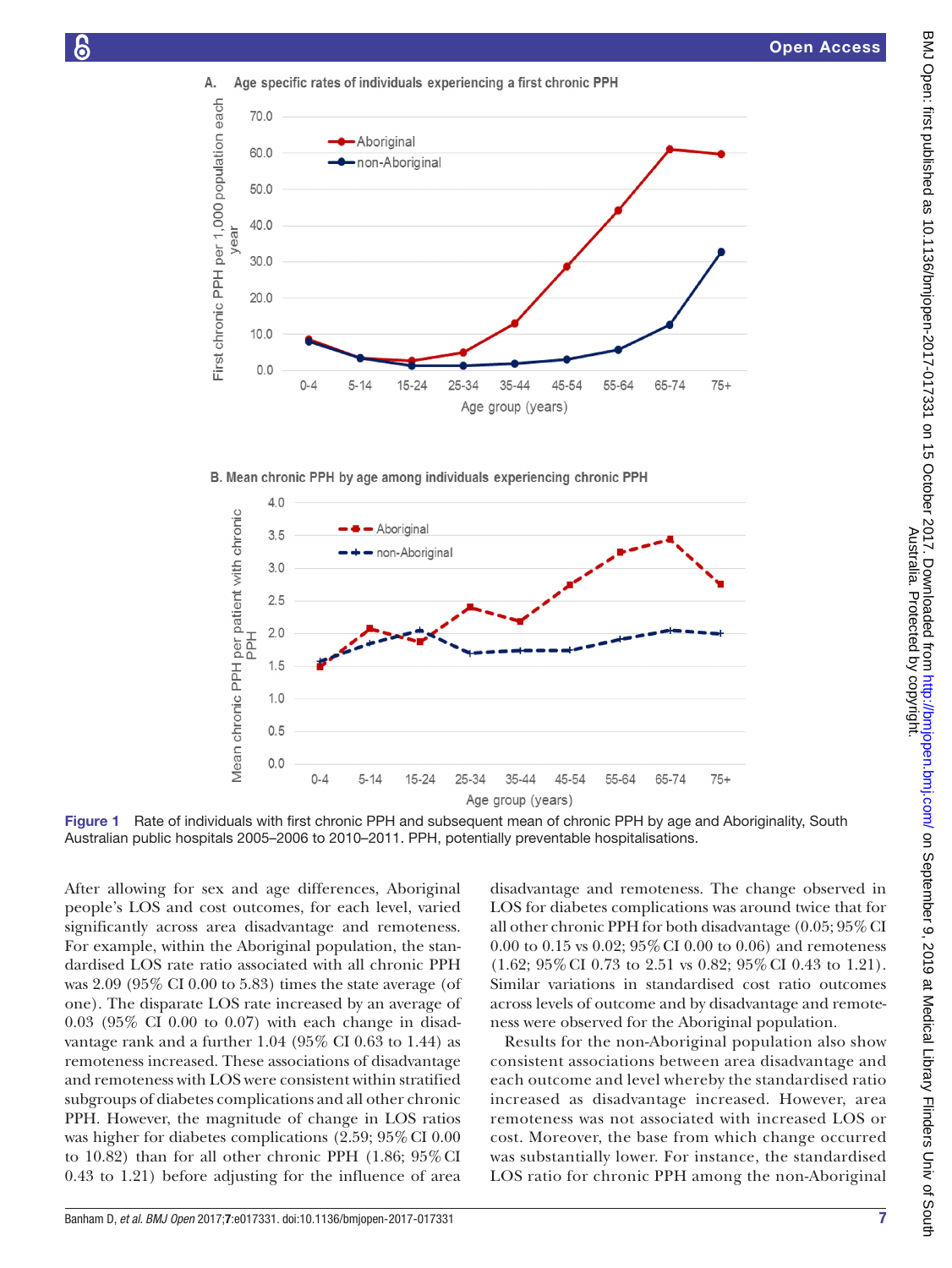

B. Mean chronic PPH by age among individuals experiencing chronic PPH



Figure 1 Rate of individuals with first chronic PPH and subsequent mean of chronic PPH by age and Aboriginality, South Australian public hospitals 2005–2006 to 2010–2011. PPH, potentially preventable hospitalisations.

After allowing for sex and age differences, Aboriginal people's LOS and cost outcomes, for each level, varied significantly across area disadvantage and remoteness. For example, within the Aboriginal population, the standardised LOS rate ratio associated with all chronic PPH was 2.09 (95% CI 0.00 to 5.83) times the state average (of one). The disparate LOS rate increased by an average of 0.03 (95% CI 0.00 to 0.07) with each change in disadvantage rank and a further 1.04 (95% CI 0.63 to 1.44) as remoteness increased. These associations of disadvantage and remoteness with LOS were consistent within stratified subgroups of diabetes complications and all other chronic PPH. However, the magnitude of change in LOS ratios was higher for diabetes complications (2.59; 95% CI 0.00 to 10.82) than for all other chronic PPH  $(1.86; 95\% \text{ CI})$ 0.43 to 1.21) before adjusting for the influence of area

Banham D, *et al*. *BMJ Open* 2017;7:e017331. doi:10.1136/bmjopen-2017-017331 7

<span id="page-6-0"></span>disadvantage and remoteness. The change observed in LOS for diabetes complications was around twice that for all other chronic PPH for both disadvantage (0.05; 95% CI 0.00 to 0.15 vs 0.02; 95%CI 0.00 to 0.06) and remoteness (1.62; 95%CI 0.73 to 2.51 vs 0.82; 95%CI 0.43 to 1.21). Similar variations in standardised cost ratio outcomes across levels of outcome and by disadvantage and remoteness were observed for the Aboriginal population.

Results for the non-Aboriginal population also show consistent associations between area disadvantage and each outcome and level whereby the standardised ratio increased as disadvantage increased. However, area remoteness was not associated with increased LOS or cost. Moreover, the base from which change occurred was substantially lower. For instance, the standardised LOS ratio for chronic PPH among the non-Aboriginal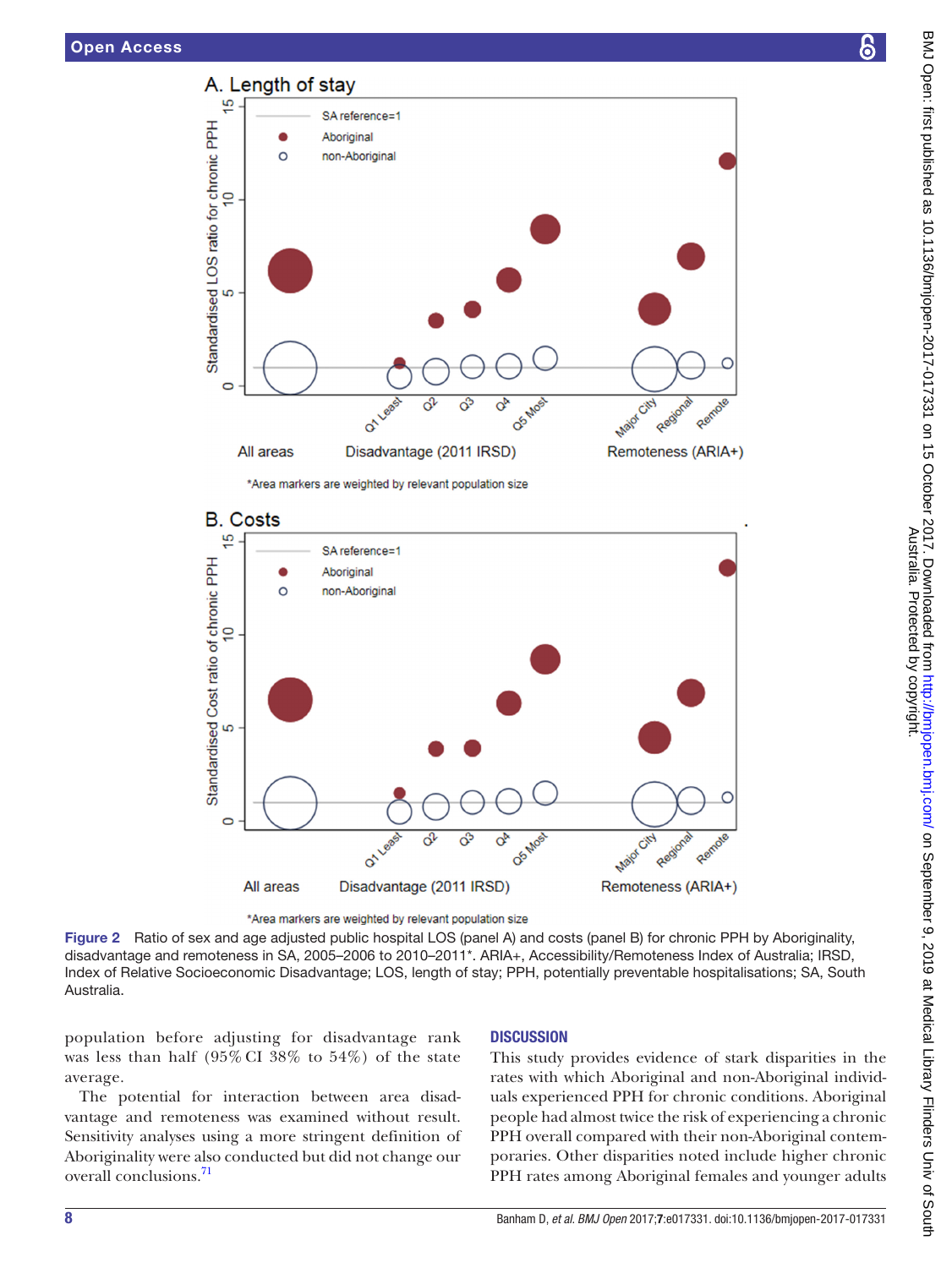

\*Area markers are weighted by relevant population size



<span id="page-7-0"></span><sup>\*</sup>Area markers are weighted by relevant population size

Figure 2 Ratio of sex and age adjusted public hospital LOS (panel A) and costs (panel B) for chronic PPH by Aboriginality, disadvantage and remoteness in SA, 2005–2006 to 2010–2011\*. ARIA+, Accessibility/Remoteness Index of Australia; IRSD, Index of Relative Socioeconomic Disadvantage; LOS, length of stay; PPH, potentially preventable hospitalisations; SA, South Australia.

population before adjusting for disadvantage rank was less than half (95% CI 38% to 54%) of the state average.

The potential for interaction between area disadvantage and remoteness was examined without result. Sensitivity analyses using a more stringent definition of Aboriginality were also conducted but did not change our overall conclusions.<sup>[71](#page-12-2)</sup>

# **DISCUSSION**

This study provides evidence of stark disparities in the rates with which Aboriginal and non-Aboriginal individuals experienced PPH for chronic conditions. Aboriginal people had almost twice the risk of experiencing a chronic PPH overall compared with their non-Aboriginal contemporaries. Other disparities noted include higher chronic PPH rates among Aboriginal females and younger adults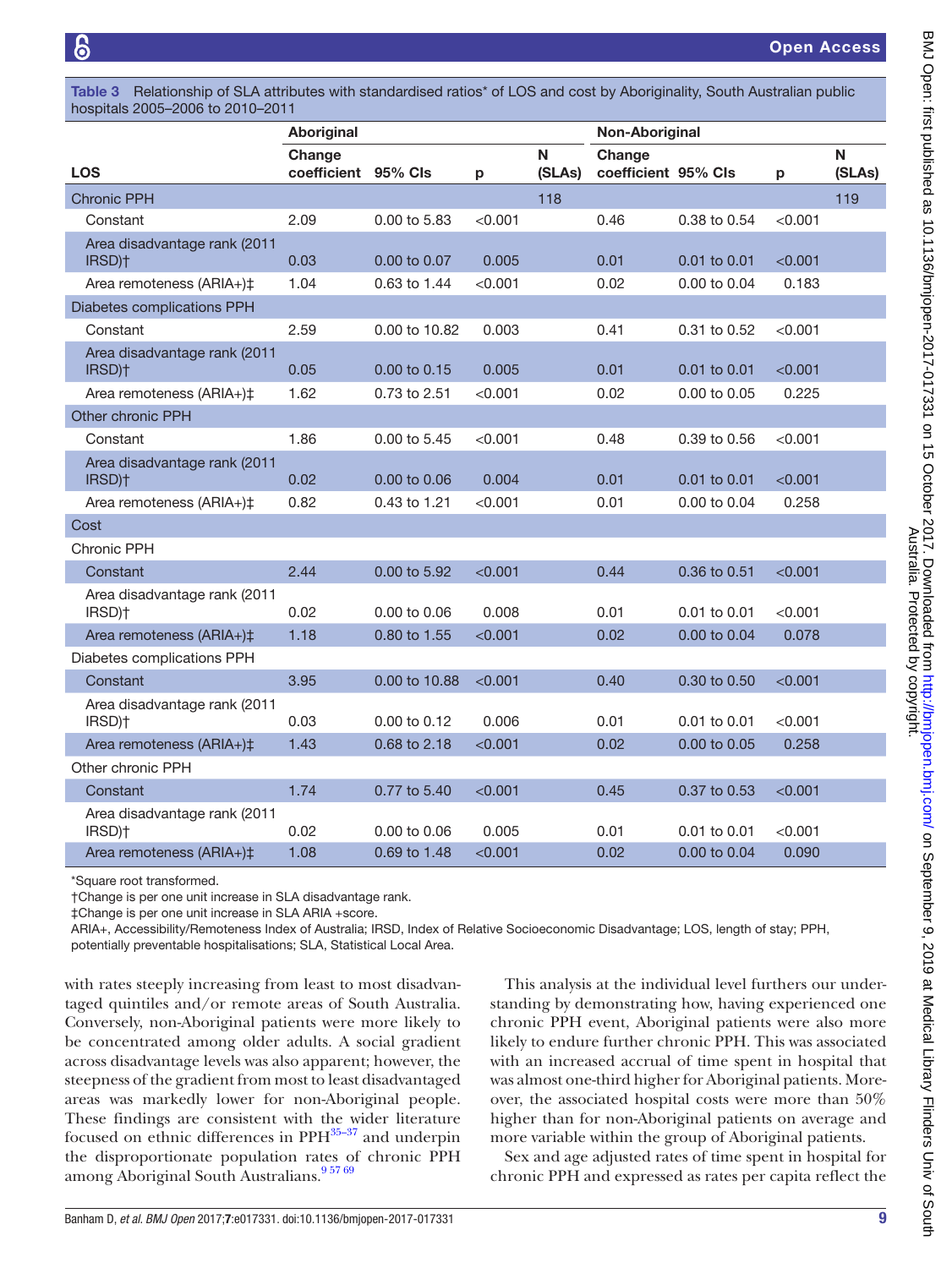<span id="page-8-0"></span>Table 3 Relationship of SLA attributes with standardised ratios<sup>\*</sup> of LOS and cost by Aboriginality, South Australian public hospitals 2005–2006 to 2010–2011

|                                                    | Aboriginal                    |               |         |             | Non-Aboriginal                |                         |         |             |
|----------------------------------------------------|-------------------------------|---------------|---------|-------------|-------------------------------|-------------------------|---------|-------------|
| <b>LOS</b>                                         | Change<br>coefficient 95% Cls |               | р       | N<br>(SLAs) | Change<br>coefficient 95% CIs |                         | p       | N<br>(SLAs) |
| <b>Chronic PPH</b>                                 |                               |               |         | 118         |                               |                         |         | 119         |
| Constant                                           | 2.09                          | 0.00 to 5.83  | < 0.001 |             | 0.46                          | 0.38 to 0.54            | < 0.001 |             |
| Area disadvantage rank (2011<br>IRSD) <sup>+</sup> | 0.03                          | 0.00 to 0.07  | 0.005   |             | 0.01                          | $0.01$ to $0.01$        | < 0.001 |             |
| Area remoteness (ARIA+)‡                           | 1.04                          | 0.63 to 1.44  | < 0.001 |             | 0.02                          | $0.00 \text{ to } 0.04$ | 0.183   |             |
| Diabetes complications PPH                         |                               |               |         |             |                               |                         |         |             |
| Constant                                           | 2.59                          | 0.00 to 10.82 | 0.003   |             | 0.41                          | 0.31 to 0.52            | < 0.001 |             |
| Area disadvantage rank (2011<br>IRSD) <sup>+</sup> | 0.05                          | 0.00 to 0.15  | 0.005   |             | 0.01                          | 0.01 to 0.01            | < 0.001 |             |
| Area remoteness (ARIA+)‡                           | 1.62                          | 0.73 to 2.51  | < 0.001 |             | 0.02                          | 0.00 to 0.05            | 0.225   |             |
| <b>Other chronic PPH</b>                           |                               |               |         |             |                               |                         |         |             |
| Constant                                           | 1.86                          | 0.00 to 5.45  | < 0.001 |             | 0.48                          | 0.39 to 0.56            | < 0.001 |             |
| Area disadvantage rank (2011<br>IRSD) <sup>+</sup> | 0.02                          | 0.00 to 0.06  | 0.004   |             | 0.01                          | 0.01 to 0.01            | < 0.001 |             |
| Area remoteness (ARIA+)‡                           | 0.82                          | 0.43 to 1.21  | < 0.001 |             | 0.01                          | 0.00 to 0.04            | 0.258   |             |
| Cost                                               |                               |               |         |             |                               |                         |         |             |
| Chronic PPH                                        |                               |               |         |             |                               |                         |         |             |
| Constant                                           | 2.44                          | 0.00 to 5.92  | < 0.001 |             | 0.44                          | 0.36 to 0.51            | < 0.001 |             |
| Area disadvantage rank (2011<br>IRSD) <sup>+</sup> | 0.02                          | 0.00 to 0.06  | 0.008   |             | 0.01                          | 0.01 to 0.01            | < 0.001 |             |
| Area remoteness (ARIA+)‡                           | 1.18                          | 0.80 to 1.55  | < 0.001 |             | 0.02                          | 0.00 to 0.04            | 0.078   |             |
| Diabetes complications PPH                         |                               |               |         |             |                               |                         |         |             |
| Constant                                           | 3.95                          | 0.00 to 10.88 | < 0.001 |             | 0.40                          | 0.30 to 0.50            | < 0.001 |             |
| Area disadvantage rank (2011<br>IRSD) <sup>+</sup> | 0.03                          | 0.00 to 0.12  | 0.006   |             | 0.01                          | 0.01 to 0.01            | < 0.001 |             |
| Area remoteness (ARIA+)‡                           | 1.43                          | 0.68 to 2.18  | < 0.001 |             | 0.02                          | 0.00 to 0.05            | 0.258   |             |
| Other chronic PPH                                  |                               |               |         |             |                               |                         |         |             |
| Constant                                           | 1.74                          | 0.77 to 5.40  | < 0.001 |             | 0.45                          | 0.37 to 0.53            | < 0.001 |             |
| Area disadvantage rank (2011<br>IRSD) <sup>+</sup> | 0.02                          | 0.00 to 0.06  | 0.005   |             | 0.01                          | 0.01 to 0.01            | < 0.001 |             |
| Area remoteness (ARIA+)‡                           | 1.08                          | 0.69 to 1.48  | < 0.001 |             | 0.02                          | 0.00 to 0.04            | 0.090   |             |

\*Square root transformed.

†Change is per one unit increase in SLA disadvantage rank.

‡Change is per one unit increase in SLA ARIA +score.

ARIA+, Accessibility/Remoteness Index of Australia; IRSD, Index of Relative Socioeconomic Disadvantage; LOS, length of stay; PPH, potentially preventable hospitalisations; SLA, Statistical Local Area.

with rates steeply increasing from least to most disadvantaged quintiles and/or remote areas of South Australia. Conversely, non-Aboriginal patients were more likely to be concentrated among older adults. A social gradient across disadvantage levels was also apparent; however, the steepness of the gradient from most to least disadvantaged areas was markedly lower for non-Aboriginal people. These findings are consistent with the wider literature focused on ethnic differences in PPH<sup>35-37</sup> and underpin the disproportionate population rates of chronic PPH among Aboriginal South Australians.<sup>957 69</sup>

This analysis at the individual level furthers our understanding by demonstrating how, having experienced one chronic PPH event, Aboriginal patients were also more likely to endure further chronic PPH. This was associated with an increased accrual of time spent in hospital that was almost one-third higher for Aboriginal patients. Moreover, the associated hospital costs were more than 50% higher than for non-Aboriginal patients on average and more variable within the group of Aboriginal patients.

Sex and age adjusted rates of time spent in hospital for chronic PPH and expressed as rates per capita reflect the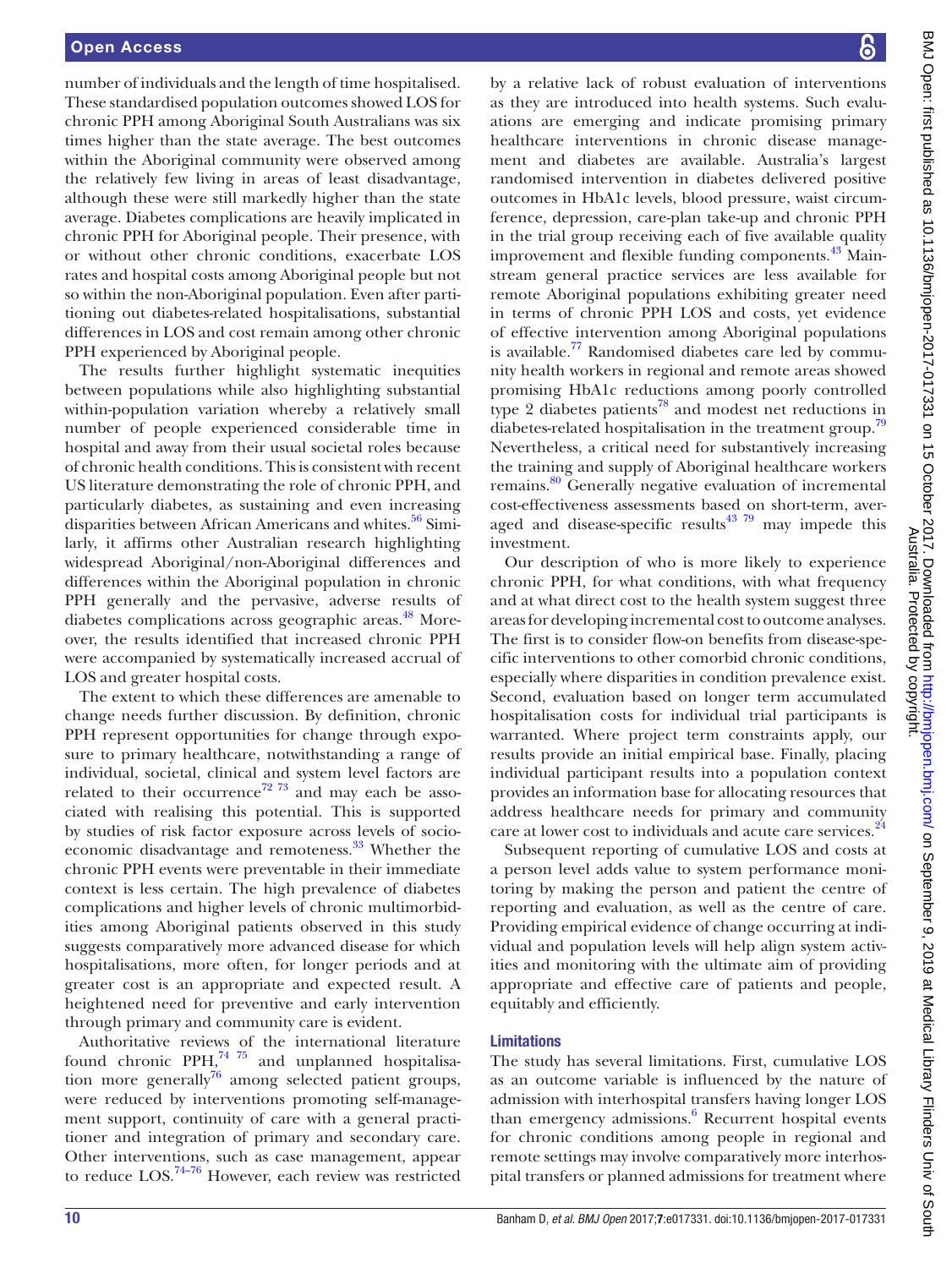number of individuals and the length of time hospitalised. These standardised population outcomes showed LOS for chronic PPH among Aboriginal South Australians was six times higher than the state average. The best outcomes within the Aboriginal community were observed among the relatively few living in areas of least disadvantage, although these were still markedly higher than the state average. Diabetes complications are heavily implicated in chronic PPH for Aboriginal people. Their presence, with or without other chronic conditions, exacerbate LOS rates and hospital costs among Aboriginal people but not so within the non-Aboriginal population. Even after partitioning out diabetes-related hospitalisations, substantial differences in LOS and cost remain among other chronic PPH experienced by Aboriginal people.

The results further highlight systematic inequities between populations while also highlighting substantial within-population variation whereby a relatively small number of people experienced considerable time in hospital and away from their usual societal roles because of chronic health conditions. This is consistent with recent US literature demonstrating the role of chronic PPH, and particularly diabetes, as sustaining and even increasing disparities between African Americans and whites.<sup>[56](#page-11-36)</sup> Similarly, it affirms other Australian research highlighting widespread Aboriginal/non-Aboriginal differences and differences within the Aboriginal population in chronic PPH generally and the pervasive, adverse results of diabetes complications across geographic areas.<sup>48</sup> Moreover, the results identified that increased chronic PPH were accompanied by systematically increased accrual of LOS and greater hospital costs.

The extent to which these differences are amenable to change needs further discussion. By definition, chronic PPH represent opportunities for change through exposure to primary healthcare, notwithstanding a range of individual, societal, clinical and system level factors are related to their occurrence<sup>72 73</sup> and may each be associated with realising this potential. This is supported by studies of risk factor exposure across levels of socioeconomic disadvantage and remoteness.<sup>33</sup> Whether the chronic PPH events were preventable in their immediate context is less certain. The high prevalence of diabetes complications and higher levels of chronic multimorbidities among Aboriginal patients observed in this study suggests comparatively more advanced disease for which hospitalisations, more often, for longer periods and at greater cost is an appropriate and expected result. A heightened need for preventive and early intervention through primary and community care is evident.

Authoritative reviews of the international literature found chronic PPH,<sup>74 75</sup> and unplanned hospitalisation more generally $^{76}$  among selected patient groups, were reduced by interventions promoting self-management support, continuity of care with a general practitioner and integration of primary and secondary care. Other interventions, such as case management, appear to reduce LOS[.74–76](#page-12-4) However, each review was restricted

by a relative lack of robust evaluation of interventions as they are introduced into health systems. Such evaluations are emerging and indicate promising primary healthcare interventions in chronic disease management and diabetes are available. Australia's largest randomised intervention in diabetes delivered positive outcomes in HbA1c levels, blood pressure, waist circumference, depression, care-plan take-up and chronic PPH in the trial group receiving each of five available quality improvement and flexible funding components.<sup>43</sup> Mainstream general practice services are less available for remote Aboriginal populations exhibiting greater need in terms of chronic PPH LOS and costs, yet evidence of effective intervention among Aboriginal populations is available. $^{77}$  Randomised diabetes care led by community health workers in regional and remote areas showed promising HbA1c reductions among poorly controlled type 2 diabetes patients<sup>[78](#page-12-7)</sup> and modest net reductions in diabetes-related hospitalisation in the treatment group.<sup>[79](#page-12-8)</sup> Nevertheless, a critical need for substantively increasing the training and supply of Aboriginal healthcare workers remains.<sup>[80](#page-12-9)</sup> Generally negative evaluation of incremental cost-effectiveness assessments based on short-term, averaged and disease-specific results $43\frac{79}{7}$  may impede this investment.

Our description of who is more likely to experience chronic PPH, for what conditions, with what frequency and at what direct cost to the health system suggest three areas for developing incremental cost to outcome analyses. The first is to consider flow-on benefits from disease-specific interventions to other comorbid chronic conditions, especially where disparities in condition prevalence exist. Second, evaluation based on longer term accumulated hospitalisation costs for individual trial participants is warranted. Where project term constraints apply, our results provide an initial empirical base. Finally, placing individual participant results into a population context provides an information base for allocating resources that address healthcare needs for primary and community care at lower cost to individuals and acute care services.<sup>[24](#page-11-7)</sup>

Subsequent reporting of cumulative LOS and costs at a person level adds value to system performance monitoring by making the person and patient the centre of reporting and evaluation, as well as the centre of care. Providing empirical evidence of change occurring at individual and population levels will help align system activities and monitoring with the ultimate aim of providing appropriate and effective care of patients and people, equitably and efficiently.

#### Limitations

The study has several limitations. First, cumulative LOS as an outcome variable is influenced by the nature of admission with interhospital transfers having longer LOS than emergency admissions.<sup>[6](#page-10-4)</sup> Recurrent hospital events for chronic conditions among people in regional and remote settings may involve comparatively more interhospital transfers or planned admissions for treatment where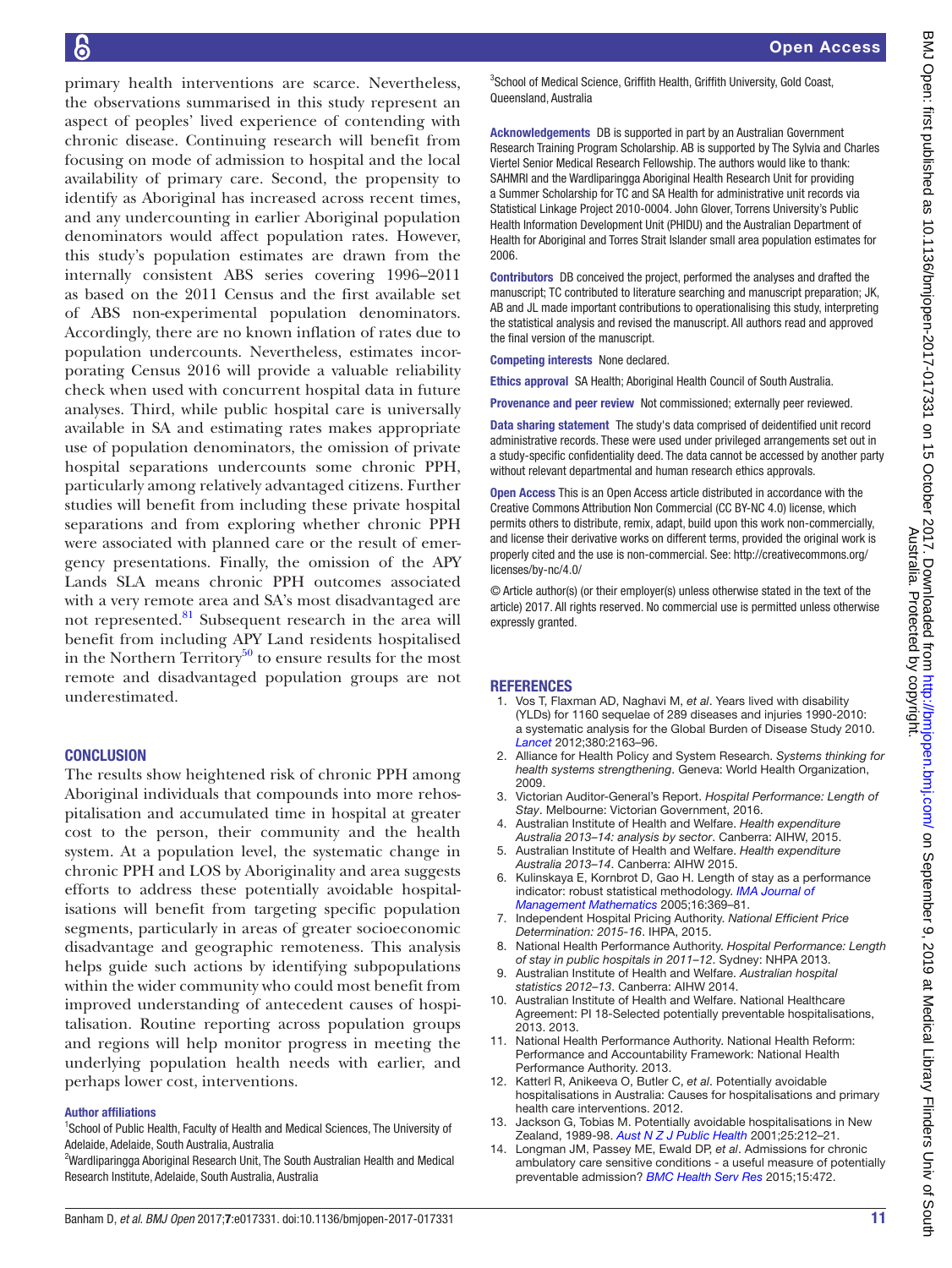primary health interventions are scarce. Nevertheless, the observations summarised in this study represent an aspect of peoples' lived experience of contending with chronic disease. Continuing research will benefit from focusing on mode of admission to hospital and the local availability of primary care. Second, the propensity to identify as Aboriginal has increased across recent times, and any undercounting in earlier Aboriginal population denominators would affect population rates. However, this study's population estimates are drawn from the internally consistent ABS series covering 1996–2011 as based on the 2011 Census and the first available set of ABS non-experimental population denominators. Accordingly, there are no known inflation of rates due to population undercounts. Nevertheless, estimates incorporating Census 2016 will provide a valuable reliability check when used with concurrent hospital data in future analyses. Third, while public hospital care is universally available in SA and estimating rates makes appropriate use of population denominators, the omission of private hospital separations undercounts some chronic PPH, particularly among relatively advantaged citizens. Further studies will benefit from including these private hospital separations and from exploring whether chronic PPH were associated with planned care or the result of emergency presentations. Finally, the omission of the APY Lands SLA means chronic PPH outcomes associated with a very remote area and SA's most disadvantaged are not represented[.81](#page-12-10) Subsequent research in the area will benefit from including APY Land residents hospitalised in the Northern Territory $50$  to ensure results for the most remote and disadvantaged population groups are not underestimated.

#### **CONCLUSION**

The results show heightened risk of chronic PPH among Aboriginal individuals that compounds into more rehospitalisation and accumulated time in hospital at greater cost to the person, their community and the health system. At a population level, the systematic change in chronic PPH and LOS by Aboriginality and area suggests efforts to address these potentially avoidable hospitalisations will benefit from targeting specific population segments, particularly in areas of greater socioeconomic disadvantage and geographic remoteness. This analysis helps guide such actions by identifying subpopulations within the wider community who could most benefit from improved understanding of antecedent causes of hospitalisation. Routine reporting across population groups and regions will help monitor progress in meeting the underlying population health needs with earlier, and perhaps lower cost, interventions.

#### Author affiliations

<sup>1</sup>School of Public Health, Faculty of Health and Medical Sciences, The University of Adelaide, Adelaide, South Australia, Australia

Open Access

<sup>3</sup>School of Medical Science, Griffith Health, Griffith University, Gold Coast, Queensland, Australia

Acknowledgements DB is supported in part by an Australian Government Research Training Program Scholarship. AB is supported by The Sylvia and Charles Viertel Senior Medical Research Fellowship. The authors would like to thank: SAHMRI and the Wardliparingga Aboriginal Health Research Unit for providing a Summer Scholarship for TC and SA Health for administrative unit records via Statistical Linkage Project 2010-0004. John Glover, Torrens University's Public Health Information Development Unit (PHIDU) and the Australian Department of Health for Aboriginal and Torres Strait Islander small area population estimates for 2006.

Contributors DB conceived the project, performed the analyses and drafted the manuscript; TC contributed to literature searching and manuscript preparation; JK, AB and JL made important contributions to operationalising this study, interpreting the statistical analysis and revised the manuscript. All authors read and approved the final version of the manuscript.

Competing interests None declared.

Ethics approval SA Health; Aboriginal Health Council of South Australia.

Provenance and peer review Not commissioned; externally peer reviewed.

Data sharing statement The study's data comprised of deidentified unit record administrative records. These were used under privileged arrangements set out in a study-specific confidentiality deed. The data cannot be accessed by another party without relevant departmental and human research ethics approvals.

Open Access This is an Open Access article distributed in accordance with the Creative Commons Attribution Non Commercial (CC BY-NC 4.0) license, which permits others to distribute, remix, adapt, build upon this work non-commercially, and license their derivative works on different terms, provided the original work is properly cited and the use is non-commercial. See: [http://creativecommons.org/](http://creativecommons.org/licenses/by-nc/4.0/) [licenses/by-nc/4.0/](http://creativecommons.org/licenses/by-nc/4.0/)

© Article author(s) (or their employer(s) unless otherwise stated in the text of the article) 2017. All rights reserved. No commercial use is permitted unless otherwise expressly granted.

#### **REFERENCES**

- <span id="page-10-0"></span>1. Vos T, Flaxman AD, Naghavi M, *et al*. Years lived with disability (YLDs) for 1160 sequelae of 289 diseases and injuries 1990-2010: a systematic analysis for the Global Burden of Disease Study 2010. *[Lancet](http://dx.doi.org/10.1016/S0140-6736(12)61729-2)* 2012;380:2163–96.
- <span id="page-10-1"></span>2. Alliance for Health Policy and System Research. *Systems thinking for health systems strengthening*. Geneva: World Health Organization, 2009.
- <span id="page-10-2"></span>3. Victorian Auditor-General's Report. *Hospital Performance: Length of Stay*. Melbourne: Victorian Government, 2016.
- <span id="page-10-8"></span>4. Australian Institute of Health and Welfare. *Health expenditure Australia 2013–14: analysis by sector*. Canberra: AIHW, 2015.
- <span id="page-10-3"></span>5. Australian Institute of Health and Welfare. *Health expenditure Australia 2013–14*. Canberra: AIHW 2015.
- <span id="page-10-4"></span>6. Kulinskaya E, Kornbrot D, Gao H. Length of stay as a performance indicator: robust statistical methodology. *[IMA Journal of](http://dx.doi.org/10.1093/imaman/dpi015)  [Management Mathematics](http://dx.doi.org/10.1093/imaman/dpi015)* 2005;16:369–81.
- <span id="page-10-5"></span>7. Independent Hospital Pricing Authority. *National Efficient Price Determination: 2015-16*. IHPA, 2015.
- 8. National Health Performance Authority. *Hospital Performance: Length of stay in public hospitals in 2011–12*. Sydney: NHPA 2013.
- <span id="page-10-6"></span>9. Australian Institute of Health and Welfare. *Australian hospital statistics 2012–13*. Canberra: AIHW 2014.
- 10. Australian Institute of Health and Welfare. National Healthcare Agreement: PI 18-Selected potentially preventable hospitalisations, 2013. 2013.
- 11. National Health Performance Authority. National Health Reform: Performance and Accountability Framework: National Health Performance Authority. 2013.
- <span id="page-10-7"></span>12. Katterl R, Anikeeva O, Butler C, *et al*. Potentially avoidable hospitalisations in Australia: Causes for hospitalisations and primary health care interventions. 2012.
- 13. Jackson G, Tobias M. Potentially avoidable hospitalisations in New Zealand, 1989-98. *[Aust N Z J Public Health](http://dx.doi.org/10.1111/j.1467-842X.2001.tb00565.x)* 2001;25:212–21.
- <span id="page-10-9"></span>14. Longman JM, Passey ME, Ewald DP, *et al*. Admissions for chronic ambulatory care sensitive conditions - a useful measure of potentially preventable admission? *[BMC Health Serv Res](http://dx.doi.org/10.1186/s12913-015-1137-0)* 2015;15:472.

<sup>&</sup>lt;sup>2</sup>Wardliparingga Aboriginal Research Unit, The South Australian Health and Medical Research Institute, Adelaide, South Australia, Australia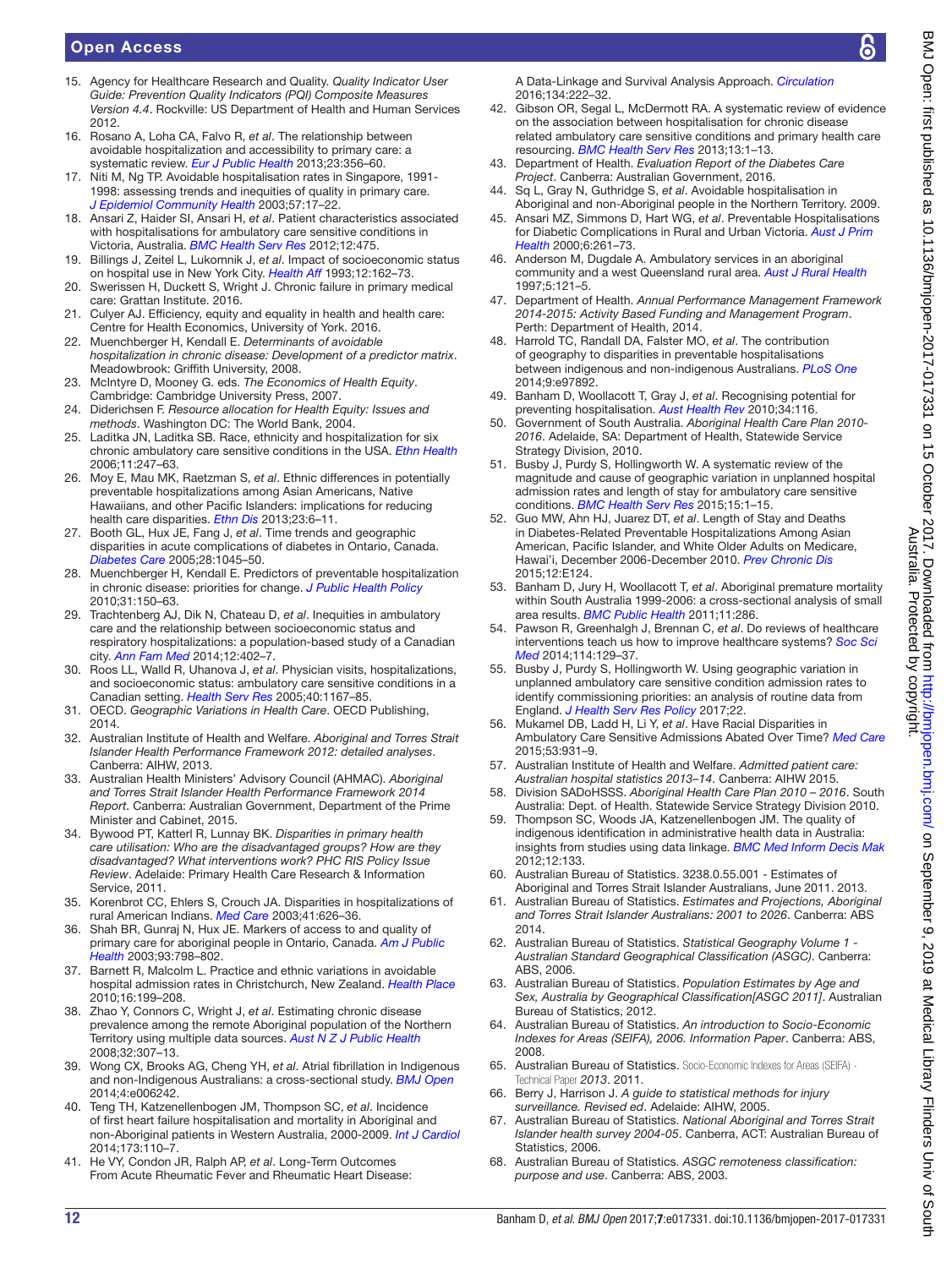- <span id="page-11-0"></span>15. Agency for Healthcare Research and Quality. *Quality Indicator User Guide: Prevention Quality Indicators (PQI) Composite Measures Version 4.4*. Rockville: US Department of Health and Human Services 2012.
- 16. Rosano A, Loha CA, Falvo R, *et al*. The relationship between avoidable hospitalization and accessibility to primary care: a systematic review. *[Eur J Public Health](http://dx.doi.org/10.1093/eurpub/cks053)* 2013;23:356–60.
- 17. Niti M, Ng TP. Avoidable hospitalisation rates in Singapore, 1991- 1998: assessing trends and inequities of quality in primary care. *[J Epidemiol Community Health](http://dx.doi.org/10.1136/jech.57.1.17)* 2003;57:17–22.
- 18. Ansari Z, Haider SI, Ansari H, *et al*. Patient characteristics associated with hospitalisations for ambulatory care sensitive conditions in Victoria, Australia. *[BMC Health Serv Res](http://dx.doi.org/10.1186/1472-6963-12-475)* 2012;12:475.
- <span id="page-11-1"></span>19. Billings J, Zeitel L, Lukomnik J, *et al*. Impact of socioeconomic status on hospital use in New York City. *[Health Aff](http://dx.doi.org/10.1377/hlthaff.12.1.162)* 1993;12:162–73.
- <span id="page-11-2"></span>20. Swerissen H, Duckett S, Wright J. Chronic failure in primary medical care: Grattan Institute. 2016.
- <span id="page-11-3"></span>21. Culyer AJ. Efficiency, equity and equality in health and health care: Centre for Health Economics, University of York. 2016.
- 22. Muenchberger H, Kendall E. *Determinants of avoidable hospitalization in chronic disease: Development of a predictor matrix*. Meadowbrook: Griffith University, 2008.
- 23. McIntyre D, Mooney G. eds. *The Economics of Health Equity*. Cambridge: Cambridge University Press, 2007.
- <span id="page-11-7"></span>24. Diderichsen F. *Resource allocation for Health Equity: Issues and methods*. Washington DC: The World Bank, 2004.
- <span id="page-11-4"></span>25. Laditka JN, Laditka SB. Race, ethnicity and hospitalization for six chronic ambulatory care sensitive conditions in the USA. *[Ethn Health](http://dx.doi.org/10.1080/13557850600565640)* 2006;11:247–63.
- 26. Moy E, Mau MK, Raetzman S, *et al*. Ethnic differences in potentially preventable hospitalizations among Asian Americans, Native Hawaiians, and other Pacific Islanders: implications for reducing health care disparities. *Ethn Dis* 2013;23:6–11.
- <span id="page-11-5"></span>27. Booth GL, Hux JE, Fang J, *et al*. Time trends and geographic disparities in acute complications of diabetes in Ontario, Canada. *[Diabetes Care](http://dx.doi.org/10.2337/diacare.28.5.1045)* 2005;28:1045–50.
- <span id="page-11-6"></span>28. Muenchberger H, Kendall E. Predictors of preventable hospitalization in chronic disease: priorities for change. *[J Public Health Policy](http://dx.doi.org/10.1057/jphp.2010.3)* 2010;31:150–63.
- 29. Trachtenberg AJ, Dik N, Chateau D, *et al*. Inequities in ambulatory care and the relationship between socioeconomic status and respiratory hospitalizations: a population-based study of a Canadian city. *[Ann Fam Med](http://dx.doi.org/10.1370/afm.1683)* 2014;12:402–7.
- 30. Roos LL, Walld R, Uhanova J, *et al*. Physician visits, hospitalizations, and socioeconomic status: ambulatory care sensitive conditions in a Canadian setting. *[Health Serv Res](http://dx.doi.org/10.1111/j.1475-6773.2005.00407.x)* 2005;40:1167–85.
- 31. OECD. *Geographic Variations in Health Care*. OECD Publishing, 2014.
- <span id="page-11-8"></span>32. Australian Institute of Health and Welfare. *Aboriginal and Torres Strait Islander Health Performance Framework 2012: detailed analyses*. Canberra: AIHW, 2013.
- <span id="page-11-37"></span>33. Australian Health Ministers' Advisory Council (AHMAC). *Aboriginal and Torres Strait Islander Health Performance Framework 2014 Report*. Canberra: Australian Government, Department of the Prime Minister and Cabinet, 2015.
- <span id="page-11-9"></span>34. Bywood PT, Katterl R, Lunnay BK. *Disparities in primary health care utilisation: Who are the disadvantaged groups? How are they disadvantaged? What interventions work? PHC RIS Policy Issue Review*. Adelaide: Primary Health Care Research & Information Service, 2011.
- <span id="page-11-10"></span>35. Korenbrot CC, Ehlers S, Crouch JA. Disparities in hospitalizations of rural American Indians. *[Med Care](http://dx.doi.org/10.1097/01.MLR.0000062549.27661.91)* 2003;41:626–36.
- <span id="page-11-11"></span>36. Shah BR, Gunraj N, Hux JE. Markers of access to and quality of primary care for aboriginal people in Ontario, Canada. *[Am J Public](http://dx.doi.org/10.2105/AJPH.93.5.798)  [Health](http://dx.doi.org/10.2105/AJPH.93.5.798)* 2003;93:798–802.
- <span id="page-11-12"></span>37. Barnett R, Malcolm L. Practice and ethnic variations in avoidable hospital admission rates in Christchurch, New Zealand. *[Health Place](http://dx.doi.org/10.1016/j.healthplace.2009.09.010)* 2010;16:199–208.
- <span id="page-11-13"></span>38. Zhao Y, Connors C, Wright J, *et al*. Estimating chronic disease prevalence among the remote Aboriginal population of the Northern Territory using multiple data sources. *[Aust N Z J Public Health](http://dx.doi.org/10.1111/j.1753-6405.2008.00245.x)* 2008;32:307–13.
- <span id="page-11-14"></span>39. Wong CX, Brooks AG, Cheng YH, *et al*. Atrial fibrillation in Indigenous and non-Indigenous Australians: a cross-sectional study. *[BMJ Open](http://dx.doi.org/10.1136/bmjopen-2014-006242)* 2014;4:e006242.
- 40. Teng TH, Katzenellenbogen JM, Thompson SC, *et al*. Incidence of first heart failure hospitalisation and mortality in Aboriginal and non-Aboriginal patients in Western Australia, 2000-2009. *[Int J Cardiol](http://dx.doi.org/10.1016/j.ijcard.2014.02.020)* 2014;173:110–7.
- <span id="page-11-15"></span>41. He VY, Condon JR, Ralph AP, *et al*. Long-Term Outcomes From Acute Rheumatic Fever and Rheumatic Heart Disease:

A Data-Linkage and Survival Analysis Approach. *[Circulation](http://dx.doi.org/10.1161/CIRCULATIONAHA.115.020966)* 2016;134:222–32.

- 42. Gibson OR, Segal L, McDermott RA. A systematic review of evidence on the association between hospitalisation for chronic disease related ambulatory care sensitive conditions and primary health care resourcing. *[BMC Health Serv Res](http://dx.doi.org/10.1186/1472-6963-13-336)* 2013;13:1–13.
- <span id="page-11-38"></span>43. Department of Health. *Evaluation Report of the Diabetes Care Project*. Canberra: Australian Government, 2016.
- <span id="page-11-17"></span>44. Sq L, Gray N, Guthridge S, *et al*. Avoidable hospitalisation in Aboriginal and non-Aboriginal people in the Northern Territory. 2009.
- <span id="page-11-16"></span>45. Ansari MZ, Simmons D, Hart WG, *et al*. Preventable Hospitalisations for Diabetic Complications in Rural and Urban Victoria. *[Aust J Prim](http://dx.doi.org/10.1071/PY00060)  [Health](http://dx.doi.org/10.1071/PY00060)* 2000;6:261–73.
- <span id="page-11-18"></span>46. Anderson M, Dugdale A. Ambulatory services in an aboriginal community and a west Queensland rural area. *[Aust J Rural Health](http://dx.doi.org/10.1111/j.1440-1584.1997.tb00252.x)* 1997;5:121–5.
- <span id="page-11-19"></span>47. Department of Health. *Annual Performance Management Framework 2014-2015: Activity Based Funding and Management Program*. Perth: Department of Health, 2014.
- <span id="page-11-20"></span>48. Harrold TC, Randall DA, Falster MO, *et al*. The contribution of geography to disparities in preventable hospitalisations between indigenous and non-indigenous Australians. *[PLoS One](http://dx.doi.org/10.1371/journal.pone.0097892)* 2014;9:e97892.
- <span id="page-11-21"></span>49. Banham D, Woollacott T, Gray J, *et al*. Recognising potential for preventing hospitalisation. *[Aust Health Rev](http://dx.doi.org/10.1071/AH09674)* 2010;34:116.
- <span id="page-11-39"></span>50. Government of South Australia. *Aboriginal Health Care Plan 2010- 2016*. Adelaide, SA: Department of Health, Statewide Service Strategy Division, 2010.
- <span id="page-11-22"></span>51. Busby J, Purdy S, Hollingworth W. A systematic review of the magnitude and cause of geographic variation in unplanned hospital admission rates and length of stay for ambulatory care sensitive conditions. *[BMC Health Serv Res](http://dx.doi.org/10.1186/s12913-015-0964-3)* 2015;15:1–15.
- <span id="page-11-23"></span>52. Guo MW, Ahn HJ, Juarez DT, *et al*. Length of Stay and Deaths in Diabetes-Related Preventable Hospitalizations Among Asian American, Pacific Islander, and White Older Adults on Medicare, Hawai'i, December 2006-December 2010. *[Prev Chronic Dis](http://dx.doi.org/10.5888/pcd12.150092)* 2015;12:E124.
- <span id="page-11-24"></span>53. Banham D, Jury H, Woollacott T, *et al*. Aboriginal premature mortality within South Australia 1999-2006: a cross-sectional analysis of small area results. *[BMC Public Health](http://dx.doi.org/10.1186/1471-2458-11-286)* 2011;11:286.
- 54. Pawson R, Greenhalgh J, Brennan C, *et al*. Do reviews of healthcare interventions teach us how to improve healthcare systems? *[Soc Sci](http://dx.doi.org/10.1016/j.socscimed.2014.05.032)  [Med](http://dx.doi.org/10.1016/j.socscimed.2014.05.032)* 2014;114:129–37.
- 55. Busby J, Purdy S, Hollingworth W. Using geographic variation in unplanned ambulatory care sensitive condition admission rates to identify commissioning priorities: an analysis of routine data from England. *[J Health Serv Res Policy](http://dx.doi.org/10.1177/1355819616666397)* 2017;22.
- <span id="page-11-36"></span>56. Mukamel DB, Ladd H, Li Y, *et al*. Have Racial Disparities in Ambulatory Care Sensitive Admissions Abated Over Time? *[Med Care](http://dx.doi.org/10.1097/MLR.0000000000000426)* 2015;53:931–9.
- <span id="page-11-25"></span>57. Australian Institute of Health and Welfare. *Admitted patient care: Australian hospital statistics 2013–14*. Canberra: AIHW 2015.
- <span id="page-11-26"></span>58. Division SADoHSSS. *Aboriginal Health Care Plan 2010 – 2016*. South Australia: Dept. of Health. Statewide Service Strategy Division 2010.
- <span id="page-11-27"></span>59. Thompson SC, Woods JA, Katzenellenbogen JM. The quality of indigenous identification in administrative health data in Australia: insights from studies using data linkage. *[BMC Med Inform Decis Mak](http://dx.doi.org/10.1186/1472-6947-12-133)* 2012;12:133.
- <span id="page-11-28"></span>60. Australian Bureau of Statistics. 3238.0.55.001 - Estimates of Aboriginal and Torres Strait Islander Australians, June 2011. 2013.
- <span id="page-11-29"></span>61. Australian Bureau of Statistics. *Estimates and Projections, Aboriginal and Torres Strait Islander Australians: 2001 to 2026*. Canberra: ABS 2014.
- <span id="page-11-30"></span>62. Australian Bureau of Statistics. *Statistical Geography Volume 1 - Australian Standard Geographical Classification (ASGC)*. Canberra: ABS, 2006.
- <span id="page-11-31"></span>63. Australian Bureau of Statistics. *Population Estimates by Age and Sex, Australia by Geographical Classification[ASGC 2011]*. Australian Bureau of Statistics, 2012.
- <span id="page-11-32"></span>64. Australian Bureau of Statistics. *An introduction to Socio-Economic Indexes for Areas (SEIFA), 2006. Information Paper*. Canberra: ABS, 2008.
- 65. Australian Bureau of Statistics. Socio-Economic Indexes for Areas (SEIFA) Technical Paper *2013*. 2011.
- <span id="page-11-33"></span>66. Berry J, Harrison J. *A guide to statistical methods for injury surveillance. Revised ed*. Adelaide: AIHW, 2005.
- <span id="page-11-34"></span>67. Australian Bureau of Statistics. *National Aboriginal and Torres Strait Islander health survey 2004-05*. Canberra, ACT: Australian Bureau of Statistics, 2006.
- <span id="page-11-35"></span>68. Australian Bureau of Statistics. *ASGC remoteness classification: purpose and use*. Canberra: ABS, 2003.